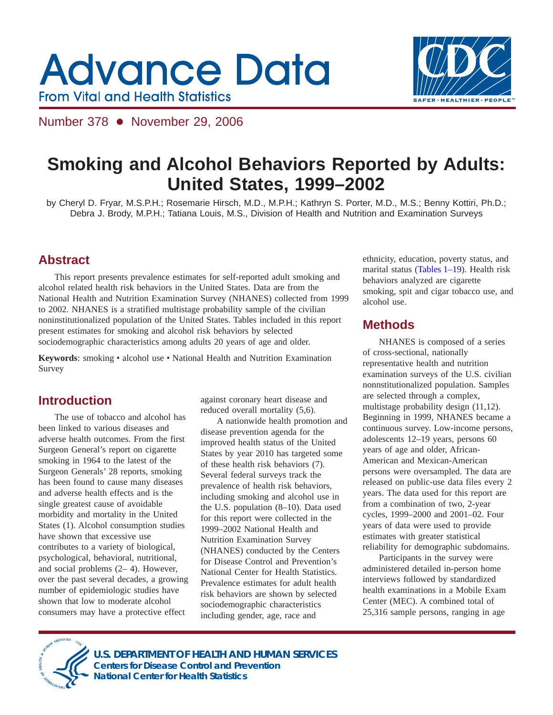# **Advance Data From Vital and Health Statistics**



Number 378 • November 29, 2006

## **Smoking and Alcohol Behaviors Reported by Adults: United States, 1999–2002**

by Cheryl D. Fryar, M.S.P.H.; Rosemarie Hirsch, M.D., M.P.H.; Kathryn S. Porter, M.D., M.S.; Benny Kottiri, Ph.D.; Debra J. Brody, M.P.H.; Tatiana Louis, M.S., Division of Health and Nutrition and Examination Surveys

### **Abstract**

This report presents prevalence estimates for self-reported adult smoking and alcohol related health risk behaviors in the United States. Data are from the National Health and Nutrition Examination Survey (NHANES) collected from 1999 to 2002. NHANES is a stratified multistage probability sample of the civilian noninstitutionalized population of the United States. Tables included in this report present estimates for smoking and alcohol risk behaviors by selected sociodemographic characteristics among adults 20 years of age and older.

Keywords: smoking · alcohol use · National Health and Nutrition Examination Survey

### **Introduction**

The use of tobacco and alcohol has been linked to various diseases and adverse health outcomes. From the first Surgeon General's report on cigarette smoking in 1964 to the latest of the Surgeon Generals' 28 reports, smoking has been found to cause many diseases and adverse health effects and is the single greatest cause of avoidable morbidity and mortality in the United States (1). Alcohol consumption studies have shown that excessive use contributes to a variety of biological, psychological, behavioral, nutritional, and social problems (2– 4). However, over the past several decades, a growing number of epidemiologic studies have shown that low to moderate alcohol consumers may have a protective effect

against coronary heart disease and reduced overall mortality (5,6).

A nationwide health promotion and disease prevention agenda for the improved health status of the United States by year 2010 has targeted some of these health risk behaviors (7). Several federal surveys track the prevalence of health risk behaviors, including smoking and alcohol use in the U.S. population (8–10). Data used for this report were collected in the 1999–2002 National Health and Nutrition Examination Survey (NHANES) conducted by the Centers for Disease Control and Prevention's National Center for Health Statistics. Prevalence estimates for adult health risk behaviors are shown by selected sociodemographic characteristics including gender, age, race and

ethnicity, education, poverty status, and marital status [\(Tables](#page-4-0) 1–19). Health risk behaviors analyzed are cigarette smoking, spit and cigar tobacco use, and alcohol use.

### **Methods**

NHANES is composed of a series of cross-sectional, nationally representative health and nutrition examination surveys of the U.S. civilian nonnstitutionalized population. Samples are selected through a complex, multistage probability design (11,12). Beginning in 1999, NHANES became a continuous survey. Low-income persons, adolescents 12–19 years, persons 60 years of age and older, African-American and Mexican-American persons were oversampled. The data are released on public-use data files every 2 years. The data used for this report are from a combination of two, 2-year cycles, 1999–2000 and 2001–02. Four years of data were used to provide estimates with greater statistical reliability for demographic subdomains.

Participants in the survey were administered detailed in-person home interviews followed by standardized health examinations in a Mobile Exam Center (MEC). A combined total of 25,316 sample persons, ranging in age



**U.S. DEPARTMENT OF HEALTH AND HUMAN SERVICES Centers for Disease Control and Prevention National Center for Health Statistics**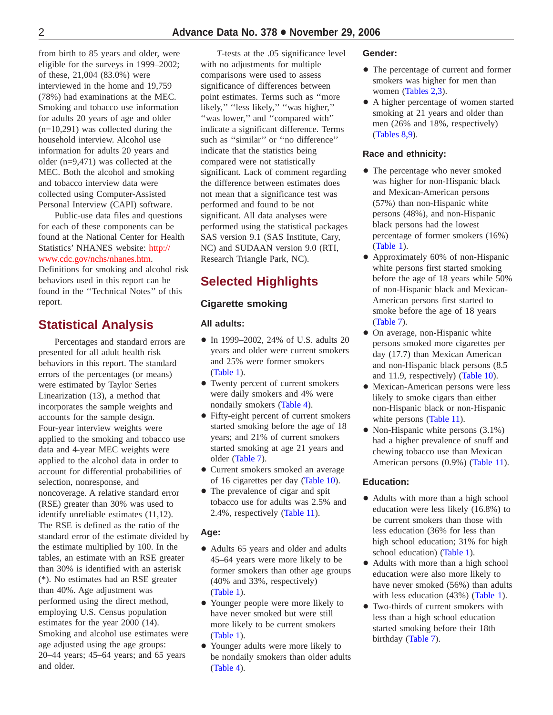from birth to 85 years and older, were eligible for the surveys in 1999–2002; of these, 21,004 (83.0%) were interviewed in the home and 19,759 (78%) had examinations at the MEC. Smoking and tobacco use information for adults 20 years of age and older (n=10,291) was collected during the household interview. Alcohol use information for adults 20 years and older (n=9,471) was collected at the MEC. Both the alcohol and smoking and tobacco interview data were collected using Computer-Assisted Personal Interview (CAPI) software.

Public-use data files and questions for each of these components can be found at the National Center for Health Statistics' NHANES website: http:// [www.cdc.gov/nchs/nhanes.htm.](http://www.cdc.gov/nchs/nhanes.htm) Definitions for smoking and alcohol risk behaviors used in this report can be found in the ''Technical Notes'' of this report.

### **Statistical Analysis**

Percentages and standard errors are presented for all adult health risk behaviors in this report. The standard errors of the percentages (or means) were estimated by Taylor Series Linearization (13), a method that incorporates the sample weights and accounts for the sample design. Four-year interview weights were applied to the smoking and tobacco use data and 4-year MEC weights were applied to the alcohol data in order to account for differential probabilities of selection, nonresponse, and noncoverage. A relative standard error (RSE) greater than 30% was used to identify unreliable estimates (11,12). The RSE is defined as the ratio of the standard error of the estimate divided by the estimate multiplied by 100. In the tables, an estimate with an RSE greater than 30% is identified with an asterisk (\*). No estimates had an RSE greater than 40%. Age adjustment was performed using the direct method, employing U.S. Census population estimates for the year 2000 (14). Smoking and alcohol use estimates were age adjusted using the age groups: 20–44 years; 45–64 years; and 65 years and older.

*T*-tests at the .05 significance level with no adjustments for multiple comparisons were used to assess significance of differences between point estimates. Terms such as ''more likely," "less likely," "was higher," "was lower," and "compared with" indicate a significant difference. Terms such as ''similar'' or ''no difference'' indicate that the statistics being compared were not statistically significant. Lack of comment regarding the difference between estimates does not mean that a significance test was performed and found to be not significant. All data analyses were performed using the statistical packages SAS version 9.1 (SAS Institute, Cary, NC) and SUDAAN version 9.0 (RTI, Research Triangle Park, NC).

### **Selected Highlights**

### **Cigarette smoking**

### **All adults:**

- In 1999–2002, 24% of U.S. adults 20 years and older were current smokers and 25% were former smokers [\(Table](#page-4-0) 1).
- Twenty percent of current smokers were daily smokers and 4% were nondaily smokers [\(Table](#page-7-0) 4).
- Fifty-eight percent of current smokers started smoking before the age of 18 years; and 21% of current smokers started smoking at age 21 years and older [\(Table](#page-10-0) 7).
- Current smokers smoked an average of 16 cigarettes per day [\(Table](#page-13-0) 10).
- The prevalence of cigar and spit tobacco use for adults was 2.5% and 2.4%, respectively [\(Table](#page-14-0) 11).

### **Age:**

- + Adults 65 years and older and adults 45–64 years were more likely to be former smokers than other age groups (40% and 33%, respectively) [\(Table](#page-4-0) 1).
- Younger people were more likely to have never smoked but were still more likely to be current smokers [\(Table](#page-4-0) 1).
- Younger adults were more likely to be nondaily smokers than older adults [\(Table](#page-7-0) 4).

### **Gender:**

- The percentage of current and former smokers was higher for men than women [\(Tables](#page-5-0) 2[,3\).](#page-6-0)
- A higher percentage of women started smoking at 21 years and older than men (26% and 18%, respectively) [\(Tables](#page-11-0) 8[,9\).](#page-12-0)

### **Race and ethnicity:**

- The percentage who never smoked was higher for non-Hispanic black and Mexican-American persons (57%) than non-Hispanic white persons (48%), and non-Hispanic black persons had the lowest percentage of former smokers (16%) [\(Table](#page-4-0) 1).
- Approximately 60% of non-Hispanic white persons first started smoking before the age of 18 years while 50% of non-Hispanic black and Mexican-American persons first started to smoke before the age of 18 years [\(Table](#page-10-0) 7).
- $\bullet$  On average, non-Hispanic white persons smoked more cigarettes per day (17.7) than Mexican American and non-Hispanic black persons (8.5 and 11.9, respectively) [\(Table](#page-13-0) 10).
- $\bullet$  Mexican-American persons were less likely to smoke cigars than either non-Hispanic black or non-Hispanic white persons [\(Table](#page-14-0) 11).
- $\bullet$  Non-Hispanic white persons (3.1%) had a higher prevalence of snuff and chewing tobacco use than Mexican American persons (0.9%) [\(Table](#page-14-0) 11).

### **Education:**

- Adults with more than a high school education were less likely (16.8%) to be current smokers than those with less education (36% for less than high school education; 31% for high school education) [\(Table](#page-4-0) 1).
- + Adults with more than a high school education were also more likely to have never smoked (56%) than adults with less education (43%) [\(Table](#page-4-0) 1).
- Two-thirds of current smokers with less than a high school education started smoking before their 18th birthday [\(Table](#page-10-0) 7).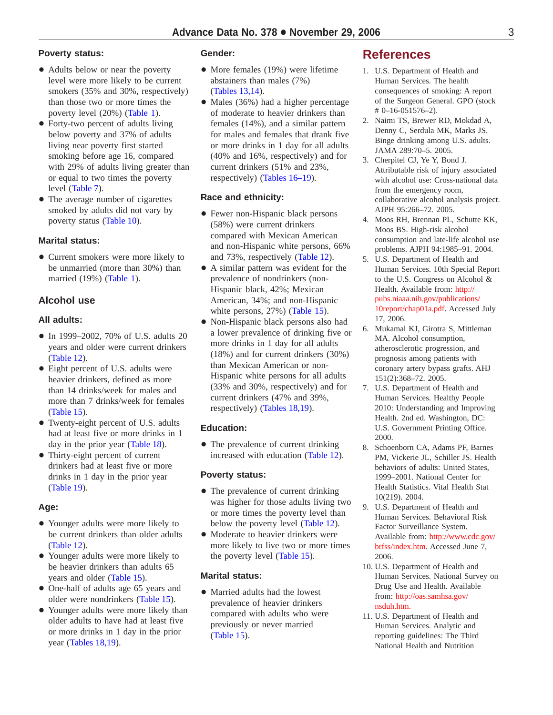### **Poverty status:**

- Adults below or near the poverty level were more likely to be current smokers (35% and 30%, respectively) than those two or more times the poverty level (20%) [\(Table](#page-4-0) 1).
- Forty-two percent of adults living below poverty and 37% of adults living near poverty first started smoking before age 16, compared with 29% of adults living greater than or equal to two times the poverty level [\(Table](#page-10-0) 7).
- The average number of cigarettes smoked by adults did not vary by poverty status [\(Table](#page-13-0) 10).

### **Marital status:**

• Current smokers were more likely to be unmarried (more than 30%) than married (19%) [\(Table](#page-4-0) 1).

### **Alcohol use**

### **All adults:**

- In 1999–2002, 70% of U.S. adults 20 years and older were current drinkers ([Table](#page-15-0) 12).
- Eight percent of U.S. adults were heavier drinkers, defined as more than 14 drinks/week for males and more than 7 drinks/week for females [\(Table](#page-18-0) 15).
- Twenty-eight percent of U.S. adults had at least five or more drinks in 1 day in the prior year [\(Table](#page-21-0) 18).
- Thirty-eight percent of current drinkers had at least five or more drinks in 1 day in the prior year [\(Table](#page-22-0) 19).

### **Age:**

- Younger adults were more likely to be current drinkers than older adults [\(Table](#page-15-0) 12).
- Younger adults were more likely to be heavier drinkers than adults 65 years and older [\(Table](#page-18-0) 15).
- One-half of adults age 65 years and older were nondrinkers [\(Table](#page-18-0) 15).
- Younger adults were more likely than older adults to have had at least five or more drinks in 1 day in the prior year [\(Tables](#page-21-0) 18[,19\).](#page-22-0)

### **Gender:**

- $\bullet$  More females (19%) were lifetime abstainers than males (7%) [\(Tables](#page-16-0) 13[,14\).](#page-17-0)
- $\bullet$  Males (36%) had a higher percentage of moderate to heavier drinkers than females (14%), and a similar pattern for males and females that drank five or more drinks in 1 day for all adults (40% and 16%, respectively) and for current drinkers (51% and 23%, respectively) (Tables [16–19\)](#page-19-0).

### **Race and ethnicity:**

- Fewer non-Hispanic black persons (58%) were current drinkers compared with Mexican American and non-Hispanic white persons, 66% and 73%, respectively ([Table](#page-15-0) 12).
- + A similar pattern was evident for the prevalence of nondrinkers (non-Hispanic black, 42%; Mexican American, 34%; and non-Hispanic white persons, 27%) [\(Table](#page-18-0) 15).
- + Non-Hispanic black persons also had a lower prevalence of drinking five or more drinks in 1 day for all adults (18%) and for current drinkers (30%) than Mexican American or non-Hispanic white persons for all adults (33% and 30%, respectively) and for current drinkers (47% and 39%, respectively) [\(Tables](#page-21-0) 18[,19\).](#page-22-0)

### **Education:**

• The prevalence of current drinking increased with education [\(Table](#page-15-0) 12).

### **Poverty status:**

- The prevalence of current drinking was higher for those adults living two or more times the poverty level than below the poverty level [\(Table](#page-15-0) 12).
- Moderate to heavier drinkers were more likely to live two or more times the poverty level [\(Table](#page-18-0) 15).

### **Marital status:**

• Married adults had the lowest prevalence of heavier drinkers compared with adults who were previously or never married [\(Table](#page-18-0) 15).

### **References**

- 1. U.S. Department of Health and Human Services. The health consequences of smoking: A report of the Surgeon General. GPO (stock # 0–16-051576–2).
- 2. Naimi TS, Brewer RD, Mokdad A, Denny C, Serdula MK, Marks JS. Binge drinking among U.S. adults. JAMA 289:70–5. 2005.
- 3. Cherpitel CJ, Ye Y, Bond J. Attributable risk of injury associated with alcohol use: Cross-national data from the emergency room, collaborative alcohol analysis project. AJPH 95:266–72. 2005.
- 4. Moos RH, Brennan PL, Schutte KK, Moos BS. High-risk alcohol consumption and late-life alcohol use problems. AJPH 94:1985–91. 2004.
- 5. U.S. Department of Health and Human Services. 10th Special Report to the U.S. Congress on Alcohol & Health. Available from: http:// [pubs.niaaa.nih.gov/publications/](http://pubs.niaaa.nih.gov/publications/10report/chap01a.pdf) 10report/chap01a.pdf. Accessed July 17, 2006.
- 6. Mukamal KJ, Girotra S, Mittleman MA. Alcohol consumption, atherosclerotic progression, and prognosis among patients with coronary artery bypass grafts. AHJ 151(2):368–72. 2005.
- 7. U.S. Department of Health and Human Services. Healthy People 2010: Understanding and Improving Health. 2nd ed. Washington, DC: U.S. Government Printing Office. 2000.
- 8. Schoenborn CA, Adams PF, Barnes PM, Vickerie JL, Schiller JS. Health behaviors of adults: United States, 1999–2001. National Center for Health Statistics. Vital Health Stat 10(219). 2004.
- 9. U.S. Department of Health and Human Services. Behavioral Risk Factor Surveillance System. Available from: [http://www.cdc.gov/](http://www.cdc.gov/brfss/index.htm) brfss/index.htm. Accessed June 7, 2006.
- 10. U.S. Department of Health and Human Services. National Survey on Drug Use and Health. Available from: [http://oas.samhsa.gov/](http://oas.samhsa.gov/nsduh.htm) nsduh.htm.
- 11. U.S. Department of Health and Human Services. Analytic and reporting guidelines: The Third National Health and Nutrition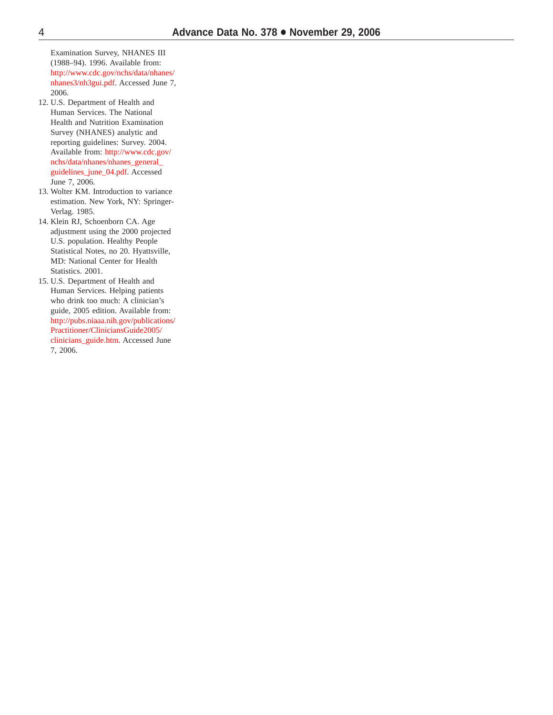Examination Survey, NHANES III (1988–94). 1996. Available from: [http://www.cdc.gov/nchs/data/nhanes/](http://www.cdc.gov/nchs/data/nhanes/nhanes3/nh3gui.pdf) nhanes3/nh3gui.pdf. Accessed June 7, 2006.

- 12. U.S. Department of Health and Human Services. The National Health and Nutrition Examination Survey (NHANES) analytic and reporting guidelines: Survey. 2004. Available from: http://www.cdc.gov/ [nchs/data/nhanes/nhanes\\_general\\_](http://www.cdc.gov/nchs/data/nhanes/nhanes_general_guidelines_june_04.pdf) guidelines\_june\_04.pdf. Accessed June 7, 2006.
- 13. Wolter KM. Introduction to variance estimation. New York, NY: Springer-Verlag. 1985.
- 14. Klein RJ, Schoenborn CA. Age adjustment using the 2000 projected U.S. population. Healthy People Statistical Notes, no 20. Hyattsville, MD: National Center for Health Statistics. 2001.
- 15. U.S. Department of Health and Human Services. Helping patients who drink too much: A clinician's guide, 2005 edition. Available from: [http://pubs.niaaa.nih.gov/publications/](http://pubs.niaaa.nih.gov/publications/Practitioner/CliniciansGuide2005/clinicians_guide.htm) Practitioner/CliniciansGuide2005/ clinicians\_guide.htm. Accessed June 7, 2006.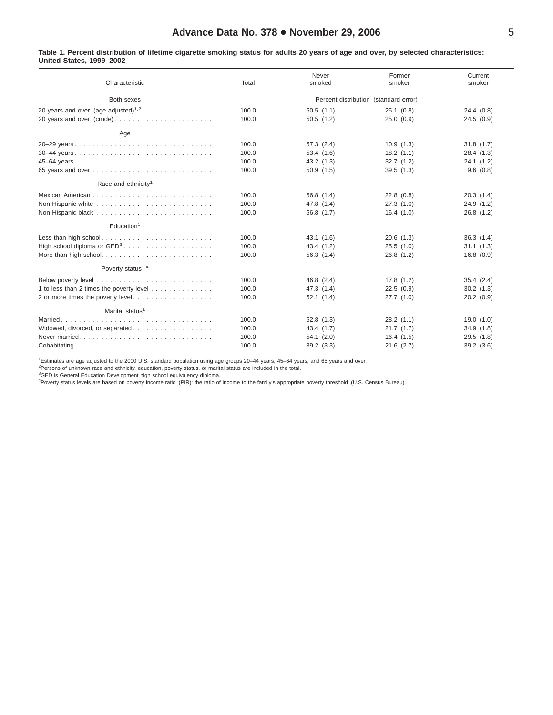#### <span id="page-4-0"></span>Table 1. Percent distribution of lifetime cigarette smoking status for adults 20 years of age and over, by selected characteristics: **United States, 1999–2002**

| Characteristic                                  | Total | Never<br>smoked | Former<br>smoker                      | Current<br>smoker |
|-------------------------------------------------|-------|-----------------|---------------------------------------|-------------------|
| Both sexes                                      |       |                 | Percent distribution (standard error) |                   |
| 20 years and over (age adjusted) <sup>1,2</sup> | 100.0 | 50.5(1.1)       | 25.1(0.8)                             | 24.4(0.8)         |
| 20 years and over (crude)                       | 100.0 | 50.5(1.2)       | 25.0(0.9)                             | 24.5(0.9)         |
| Age                                             |       |                 |                                       |                   |
| 20-29 years                                     | 100.0 | 57.3(2.4)       | 10.9(1.3)                             | 31.8(1.7)         |
|                                                 | 100.0 | 53.4(1.6)       | 18.2(1.1)                             | 28.4 (1.3)        |
|                                                 | 100.0 | 43.2(1.3)       | 32.7(1.2)                             | 24.1(1.2)         |
|                                                 | 100.0 | 50.9(1.5)       | 39.5(1.3)                             | 9.6(0.8)          |
| Race and ethnicity <sup>1</sup>                 |       |                 |                                       |                   |
|                                                 | 100.0 | 56.8 (1.4)      | 22.8(0.8)                             | 20.3(1.4)         |
|                                                 | 100.0 | 47.8 (1.4)      | 27.3(1.0)                             | 24.9(1.2)         |
|                                                 | 100.0 | 56.8 (1.7)      | 16.4(1.0)                             | 26.8(1.2)         |
| Education <sup>1</sup>                          |       |                 |                                       |                   |
|                                                 | 100.0 | 43.1 (1.6)      | 20.6(1.3)                             | 36.3(1.4)         |
|                                                 | 100.0 | 43.4 (1.2)      | 25.5(1.0)                             | 31.1(1.3)         |
|                                                 | 100.0 | 56.3(1.4)       | 26.8(1.2)                             | 16.8(0.9)         |
| Poverty status <sup>1,4</sup>                   |       |                 |                                       |                   |
|                                                 | 100.0 | 46.8 (2.4)      | 17.8(1.2)                             | 35.4(2.4)         |
| 1 to less than 2 times the poverty level        | 100.0 | 47.3(1.4)       | 22.5(0.9)                             | 30.2(1.3)         |
| 2 or more times the poverty level               | 100.0 | 52.1(1.4)       | 27.7(1.0)                             | 20.2(0.9)         |
| Marital status <sup>1</sup>                     |       |                 |                                       |                   |
|                                                 | 100.0 | 52.8(1.3)       | 28.2(1.1)                             | 19.0(1.0)         |
|                                                 | 100.0 | 43.4 (1.7)      | 21.7(1.7)                             | 34.9(1.8)         |
|                                                 | 100.0 | 54.1(2.0)       | 16.4(1.5)                             | 29.5(1.8)         |
|                                                 | 100.0 | 39.2(3.3)       | $21.6$ $(2.7)$                        | 39.2(3.6)         |

1 Estimates are age adjusted to the 2000 U.S. standard population using age groups 20–44 years, 45–64 years, and 65 years and over.

<sup>2</sup>Persons of unknown race and ethnicity, education, poverty status, or marital status are included in the total.<br><sup>3</sup>GED is General Education Development high school equivalency diploma.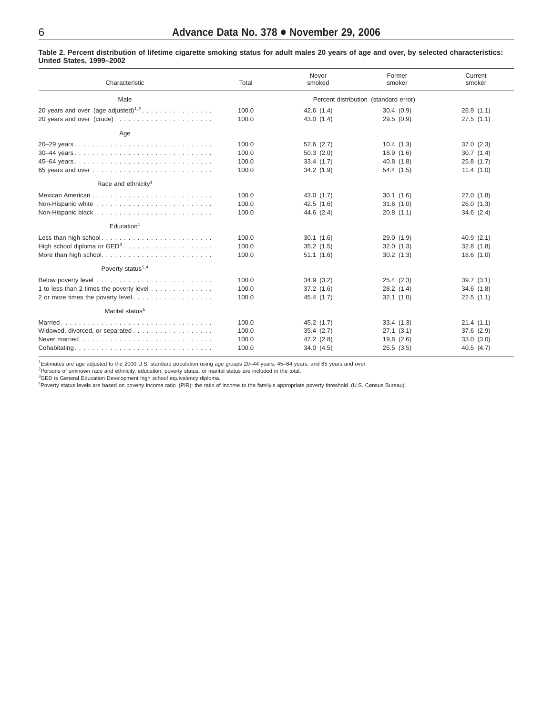| Characteristic                              | Total | Never<br>smoked                       | Former<br>smoker | Current<br>smoker |
|---------------------------------------------|-------|---------------------------------------|------------------|-------------------|
| Male                                        |       | Percent distribution (standard error) |                  |                   |
| 20 years and over $(age$ adjusted $)^{1,2}$ | 100.0 | 42.6(1.4)                             | 30.4(0.9)        | 26.9(1.1)         |
|                                             | 100.0 | 43.0(1.4)                             | 29.5(0.9)        | 27.5(1.1)         |
| Age                                         |       |                                       |                  |                   |
| 20-29 years                                 | 100.0 | $52.6$ $(2.7)$                        | 10.4(1.3)        | 37.0(2.3)         |
| 30-44 years                                 | 100.0 | 50.3(2.0)                             | 18.9(1.6)        | 30.7(1.4)         |
|                                             | 100.0 | 33.4(1.7)                             | 40.8(1.8)        | 25.8(1.7)         |
|                                             | 100.0 | 34.2(1.9)                             | 54.4 (1.5)       | 11.4(1.0)         |
| Race and ethnicity <sup>1</sup>             |       |                                       |                  |                   |
|                                             | 100.0 | 43.0(1.7)                             | 30.1(1.6)        | 27.0(1.8)         |
|                                             | 100.0 | 42.5(1.6)                             | 31.6(1.0)        | 26.0(1.3)         |
|                                             | 100.0 | 44.6(2.4)                             | 20.8(1.1)        | 34.6(2.4)         |
| Education <sup>1</sup>                      |       |                                       |                  |                   |
|                                             | 100.0 | 30.1(1.6)                             | 29.0(1.9)        | 40.9(2.1)         |
| High school diploma or GED <sup>3</sup>     | 100.0 | 35.2(1.5)                             | 32.0(1.3)        | 32.8(1.8)         |
| More than high school                       | 100.0 | 51.1(1.6)                             | 30.2(1.3)        | 18.6(1.0)         |
| Poverty status <sup>1,4</sup>               |       |                                       |                  |                   |
|                                             | 100.0 | 34.9(3.2)                             | 25.4(2.3)        | 39.7(3.1)         |
| 1 to less than 2 times the poverty level    | 100.0 | 37.2(1.6)                             | 28.2(1.4)        | 34.6(1.8)         |
| 2 or more times the poverty level           | 100.0 | 45.4 (1.7)                            | 32.1(1.0)        | 22.5(1.1)         |
| Marital status <sup>1</sup>                 |       |                                       |                  |                   |
|                                             | 100.0 | 45.2(1.7)                             | 33.4(1.3)        | 21.4(1.1)         |
| Widowed, divorced, or separated             | 100.0 | 35.4(2.7)                             | 27.1(3.1)        | 37.6(2.9)         |
|                                             | 100.0 | 47.2 (2.8)                            | 19.8(2.6)        | 33.0(3.0)         |
|                                             | 100.0 | 34.0(4.5)                             | 25.5(3.5)        | 40.5(4.7)         |

<span id="page-5-0"></span>Table 2. Percent distribution of lifetime cigarette smoking status for adult males 20 years of age and over, by selected characteristics: **United States, 1999–2002**

1 Estimates are age adjusted to the 2000 U.S. standard population using age groups 20–44 years, 45–64 years, and 65 years and over.

<sup>2</sup>Persons of unknown race and ethnicity, education, poverty status, or marital status are included in the total.<br><sup>3</sup>GED is General Education Development high school equivalency diploma.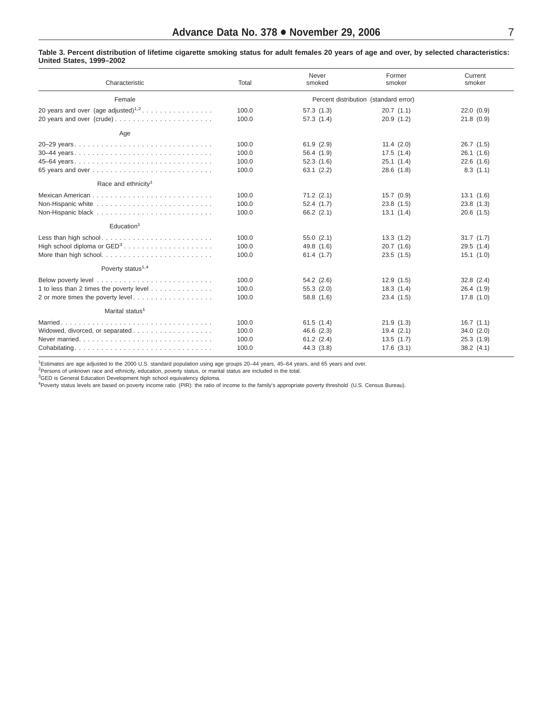#### <span id="page-6-0"></span>Table 3. Percent distribution of lifetime cigarette smoking status for adult females 20 years of age and over, by selected characteristics: **United States, 1999–2002**

| Characteristic                                  | Total | Never<br>smoked | Former<br>smoker                      | Current<br>smoker |
|-------------------------------------------------|-------|-----------------|---------------------------------------|-------------------|
| Female                                          |       |                 | Percent distribution (standard error) |                   |
| 20 years and over (age adjusted) <sup>1,2</sup> | 100.0 | 57.3(1.3)       | 20.7(1.1)                             | 22.0(0.9)         |
|                                                 | 100.0 | 57.3(1.4)       | 20.9(1.2)                             | 21.8(0.9)         |
| Age                                             |       |                 |                                       |                   |
| 20-29 years                                     | 100.0 | 61.9(2.9)       | 11.4(2.0)                             | 26.7(1.5)         |
|                                                 | 100.0 | 56.4 (1.9)      | 17.5(1.4)                             | 26.1(1.6)         |
|                                                 | 100.0 | 52.3(1.6)       | 25.1(1.4)                             | 22.6(1.6)         |
|                                                 | 100.0 | 63.1(2.2)       | 28.6(1.8)                             | 8.3(1.1)          |
| Race and ethnicity <sup>1</sup>                 |       |                 |                                       |                   |
|                                                 | 100.0 | $71.2$ $(2.1)$  | 15.7(0.9)                             | 13.1(1.6)         |
|                                                 | 100.0 | 52.4(1.7)       | 23.8(1.5)                             | 23.8(1.3)         |
|                                                 | 100.0 | $66.2$ $(2.1)$  | 13.1(1.4)                             | $20.6$ $(1.5)$    |
| Education <sup>1</sup>                          |       |                 |                                       |                   |
|                                                 | 100.0 | 55.0(2.1)       | 13.3(1.2)                             | 31.7(1.7)         |
|                                                 | 100.0 | 49.8 (1.6)      | 20.7(1.6)                             | 29.5(1.4)         |
|                                                 | 100.0 | 61.4(1.7)       | 23.5(1.5)                             | 15.1(1.0)         |
| Poverty status <sup>1,4</sup>                   |       |                 |                                       |                   |
|                                                 | 100.0 | 54.2 (2.6)      | 12.9(1.5)                             | $32.8$ $(2.4)$    |
| 1 to less than 2 times the poverty level        | 100.0 | 55.3(2.0)       | 18.3(1.4)                             | 26.4(1.9)         |
| 2 or more times the poverty level               | 100.0 | 58.8 (1.6)      | 23.4(1.5)                             | 17.8(1.0)         |
| Marital status <sup>1</sup>                     |       |                 |                                       |                   |
|                                                 | 100.0 | 61.5(1.4)       | 21.9(1.3)                             | 16.7(1.1)         |
|                                                 | 100.0 | 46.6 (2.3)      | 19.4(2.1)                             | 34.0(2.0)         |
|                                                 | 100.0 | $61.2$ $(2.4)$  | 13.5(1.7)                             | 25.3(1.9)         |
| Cohabitating                                    | 100.0 | 44.3 (3.8)      | 17.6(3.1)                             | 38.2(4.1)         |

1 Estimates are age adjusted to the 2000 U.S. standard population using age groups 20–44 years, 45–64 years, and 65 years and over.

<sup>2</sup>Persons of unknown race and ethnicity, education, poverty status, or marital status are included in the total.<br><sup>3</sup>GED is General Education Development high school equivalency diploma.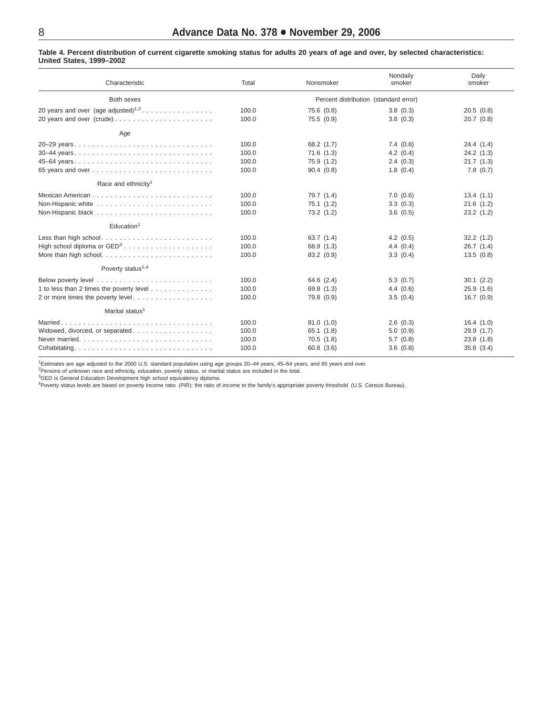### <span id="page-7-0"></span>Table 4. Percent distribution of current cigarette smoking status for adults 20 years of age and over, by selected characteristics: **United States, 1999–2002**

| Characteristic                                  | Total                                 | Nonsmoker  | Nondaily<br>smoker | Daily<br>smoker |  |
|-------------------------------------------------|---------------------------------------|------------|--------------------|-----------------|--|
| Both sexes                                      | Percent distribution (standard error) |            |                    |                 |  |
| 20 years and over (age adjusted) <sup>1,2</sup> | 100.0                                 | 75.6 (0.8) | 3.8(0.3)           | 20.5(0.8)       |  |
|                                                 | 100.0                                 | 75.5(0.9)  | 3.8(0.3)           | 20.7(0.8)       |  |
| Age                                             |                                       |            |                    |                 |  |
| 20–29 years                                     | 100.0                                 | 68.2 (1.7) | 7.4(0.8)           | 24.4 (1.4)      |  |
| 30-44 years                                     | 100.0                                 | 71.6(1.3)  | 4.2(0.4)           | 24.2(1.3)       |  |
|                                                 | 100.0                                 | 75.9 (1.2) | 2.4(0.3)           | 21.7(1.3)       |  |
|                                                 | 100.0                                 | 90.4(0.8)  | 1.8(0.4)           | 7.8(0.7)        |  |
| Race and ethnicity <sup>1</sup>                 |                                       |            |                    |                 |  |
|                                                 | 100.0                                 | 79.7 (1.4) | 7.0(0.6)           | 13.4(1.1)       |  |
|                                                 | 100.0                                 | 75.1(1.2)  | 3.3(0.3)           | 21.6(1.2)       |  |
|                                                 | 100.0                                 | 73.2 (1.2) | 3.6(0.5)           | 23.2(1.2)       |  |
| Education <sup>1</sup>                          |                                       |            |                    |                 |  |
|                                                 | 100.0                                 | 63.7(1.4)  | 4.2(0.5)           | 32.2(1.2)       |  |
|                                                 | 100.0                                 | 68.9 (1.3) | 4.4(0.4)           | 26.7(1.4)       |  |
|                                                 | 100.0                                 | 83.2 (0.9) | 3.3(0.4)           | 13.5(0.8)       |  |
| Poverty status <sup>1,4</sup>                   |                                       |            |                    |                 |  |
|                                                 | 100.0                                 | 64.6 (2.4) | 5.3(0.7)           | 30.1 (2.2)      |  |
| 1 to less than 2 times the poverty level        | 100.0                                 | 69.8 (1.3) | 4.4(0.6)           | 25.9(1.6)       |  |
| 2 or more times the poverty level               | 100.0                                 | 79.8 (0.9) | 3.5(0.4)           | 16.7(0.9)       |  |
| Marital status <sup>1</sup>                     |                                       |            |                    |                 |  |
|                                                 | 100.0                                 | 81.0(1.0)  | 2.6(0.3)           | 16.4(1.0)       |  |
|                                                 | 100.0                                 | 65.1(1.8)  | 5.0(0.9)           | 29.9 (1.7)      |  |
|                                                 | 100.0                                 | 70.5(1.8)  | 5.7(0.8)           | 23.8(1.8)       |  |
| Cohabitating                                    | 100.0                                 | 60.8(3.6)  | 3.6(0.8)           | 35.6(3.4)       |  |

1 Estimates are age adjusted to the 2000 U.S. standard population using age groups 20–44 years, 45–64 years, and 65 years and over.

<sup>2</sup>Persons of unknown race and ethnicity, education, poverty status, or marital status are included in the total.<br><sup>3</sup>GED is General Education Development high school equivalency diploma.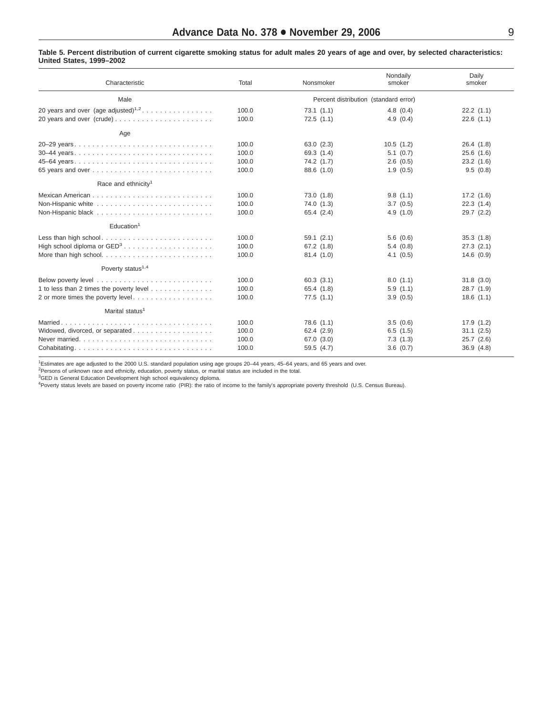#### Table 5. Percent distribution of current cigarette smoking status for adult males 20 years of age and over, by selected characteristics: **United States, 1999–2002**

| Characteristic                                  | Total | Nonsmoker                             | Nondaily<br>smoker | Daily<br>smoker |
|-------------------------------------------------|-------|---------------------------------------|--------------------|-----------------|
| Male                                            |       | Percent distribution (standard error) |                    |                 |
| 20 years and over (age adjusted) <sup>1,2</sup> | 100.0 | 73.1(1.1)                             | 4.8(0.4)           | 22.2(1.1)       |
|                                                 | 100.0 | 72.5(1.1)                             | 4.9(0.4)           | 22.6(1.1)       |
| Age                                             |       |                                       |                    |                 |
| 20-29 years                                     | 100.0 | 63.0(2.3)                             | 10.5(1.2)          | 26.4(1.8)       |
|                                                 | 100.0 | 69.3 (1.4)                            | 5.1(0.7)           | 25.6(1.6)       |
|                                                 | 100.0 | 74.2(1.7)                             | 2.6(0.5)           | 23.2(1.6)       |
|                                                 | 100.0 | 88.6 (1.0)                            | 1.9(0.5)           | 9.5(0.8)        |
| Race and ethnicity <sup>1</sup>                 |       |                                       |                    |                 |
|                                                 | 100.0 | 73.0(1.8)                             | 9.8(1.1)           | 17.2(1.6)       |
|                                                 | 100.0 | 74.0 (1.3)                            | 3.7(0.5)           | 22.3(1.4)       |
|                                                 | 100.0 | 65.4(2.4)                             | 4.9(1.0)           | 29.7(2.2)       |
| Education <sup>1</sup>                          |       |                                       |                    |                 |
| Less than high school                           | 100.0 | 59.1(2.1)                             | 5.6(0.6)           | 35.3(1.8)       |
|                                                 | 100.0 | 67.2(1.8)                             | 5.4(0.8)           | 27.3(2.1)       |
|                                                 | 100.0 | 81.4 (1.0)                            | 4.1(0.5)           | 14.6(0.9)       |
| Poverty status <sup>1,4</sup>                   |       |                                       |                    |                 |
|                                                 | 100.0 | 60.3(3.1)                             | 8.0(1.1)           | 31.8(3.0)       |
| 1 to less than 2 times the poverty level        | 100.0 | 65.4 (1.8)                            | 5.9(1.1)           | 28.7(1.9)       |
| 2 or more times the poverty level               | 100.0 | 77.5(1.1)                             | 3.9(0.5)           | 18.6(1.1)       |
| Marital status <sup>1</sup>                     |       |                                       |                    |                 |
|                                                 | 100.0 | 78.6(1.1)                             | 3.5(0.6)           | 17.9(1.2)       |
|                                                 | 100.0 | 62.4 (2.9)                            | 6.5(1.5)           | 31.1(2.5)       |
|                                                 | 100.0 | 67.0 (3.0)                            | 7.3(1.3)           | 25.7(2.6)       |
| Cohabitating                                    | 100.0 | 59.5(4.7)                             | 3.6(0.7)           | 36.9(4.8)       |

1 Estimates are age adjusted to the 2000 U.S. standard population using age groups 20–44 years, 45–64 years, and 65 years and over.

<sup>2</sup>Persons of unknown race and ethnicity, education, poverty status, or marital status are included in the total.<br><sup>3</sup>GED is General Education Development high school equivalency diploma.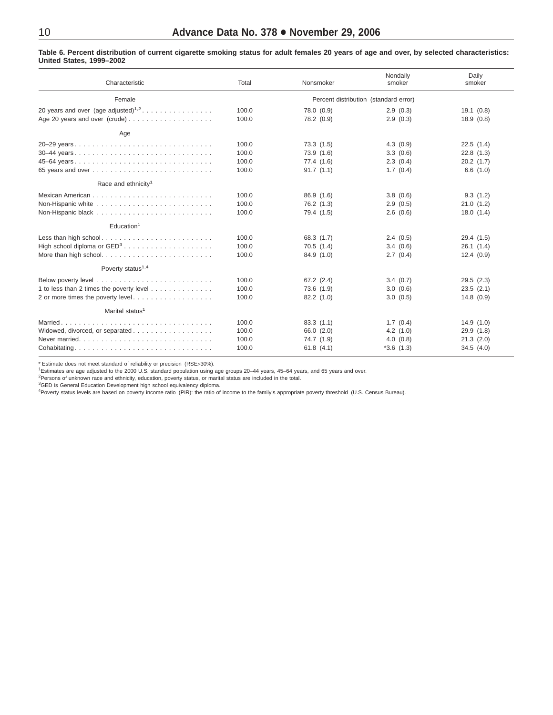Table 6. Percent distribution of current cigarette smoking status for adult females 20 years of age and over, by selected characteristics: **United States, 1999–2002**

| Characteristic                                  | Total | Nonsmoker                             | Nondaily<br>smoker | Daily<br>smoker |
|-------------------------------------------------|-------|---------------------------------------|--------------------|-----------------|
| Female                                          |       | Percent distribution (standard error) |                    |                 |
| 20 years and over (age adjusted) <sup>1,2</sup> | 100.0 | 78.0 (0.9)                            | 2.9(0.3)           | 19.1(0.8)       |
|                                                 | 100.0 | 78.2 (0.9)                            | 2.9(0.3)           | 18.9(0.8)       |
| Age                                             |       |                                       |                    |                 |
| 20–29 years                                     | 100.0 | 73.3(1.5)                             | 4.3(0.9)           | 22.5(1.4)       |
|                                                 | 100.0 | 73.9 (1.6)                            | 3.3(0.6)           | 22.8(1.3)       |
| 45-64 years                                     | 100.0 | 77.4 (1.6)                            | 2.3(0.4)           | 20.2(1.7)       |
|                                                 | 100.0 | 91.7(1.1)                             | 1.7(0.4)           | 6.6(1.0)        |
| Race and ethnicity <sup>1</sup>                 |       |                                       |                    |                 |
|                                                 | 100.0 | 86.9 (1.6)                            | 3.8(0.6)           | 9.3(1.2)        |
|                                                 | 100.0 | 76.2 (1.3)                            | 2.9(0.5)           | 21.0(1.2)       |
|                                                 | 100.0 | 79.4 (1.5)                            | 2.6(0.6)           | 18.0(1.4)       |
| Education <sup>1</sup>                          |       |                                       |                    |                 |
|                                                 | 100.0 | 68.3 (1.7)                            | 2.4(0.5)           | 29.4 (1.5)      |
|                                                 | 100.0 | 70.5(1.4)                             | 3.4(0.6)           | 26.1(1.4)       |
|                                                 | 100.0 | 84.9 (1.0)                            | 2.7(0.4)           | 12.4(0.9)       |
| Poverty status <sup>1,4</sup>                   |       |                                       |                    |                 |
|                                                 | 100.0 | 67.2(2.4)                             | 3.4(0.7)           | 29.5(2.3)       |
| 1 to less than 2 times the poverty level        | 100.0 | 73.6 (1.9)                            | 3.0(0.6)           | 23.5(2.1)       |
| 2 or more times the poverty level               | 100.0 | 82.2(1.0)                             | 3.0(0.5)           | 14.8(0.9)       |
| Marital status <sup>1</sup>                     |       |                                       |                    |                 |
|                                                 | 100.0 | 83.3(1.1)                             | 1.7(0.4)           | 14.9(1.0)       |
|                                                 | 100.0 | 66.0 (2.0)                            | 4.2(1.0)           | 29.9(1.8)       |
|                                                 | 100.0 | 74.7 (1.9)                            | 4.0(0.8)           | 21.3(2.0)       |
| Cohabitating                                    | 100.0 | 61.8(4.1)                             | $*3.6(1.3)$        | 34.5(4.0)       |

\* Estimate does not meet standard of reliability or precision (RSE>30%).

<sup>1</sup>Estimates are age adjusted to the 2000 U.S. standard population using age groups 20–44 years, 45–64 years, and 65 years and over.<br><sup>2</sup>Persons of unknown race and ethnicity, education, poverty status, or marital status ar

<sup>3</sup>GED is General Education Development high school equivalency diploma.<br><sup>4</sup>Poverty status levels are based on poverty income ratio (PIR): the ratio of income to the family's appropriate poverty threshold (U.S. Census Bure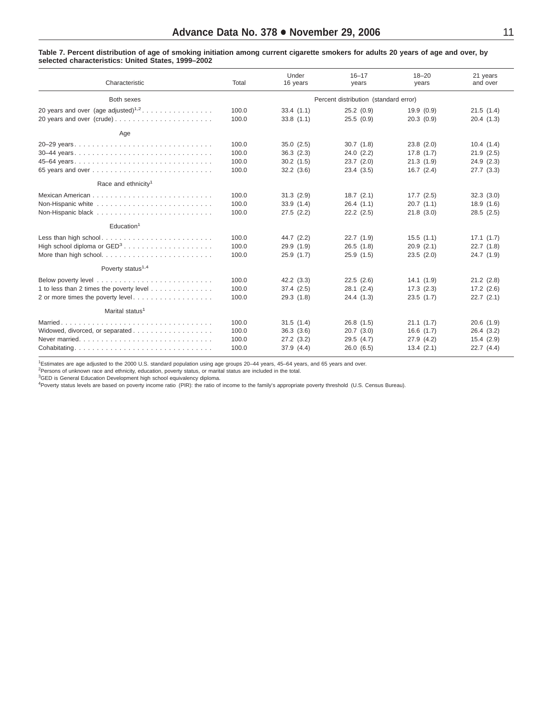### <span id="page-10-0"></span>Table 7. Percent distribution of age of smoking initiation among current cigarette smokers for adults 20 years of age and over, by **selected characteristics: United States, 1999–2002**

| Characteristic                                  | Total                                 | Under<br>16 years | $16 - 17$<br>years | $18 - 20$<br>years | 21 years<br>and over |  |
|-------------------------------------------------|---------------------------------------|-------------------|--------------------|--------------------|----------------------|--|
| Both sexes                                      | Percent distribution (standard error) |                   |                    |                    |                      |  |
| 20 years and over (age adjusted) <sup>1,2</sup> | 100.0                                 | 33.4(1.1)         | 25.2(0.9)          | 19.9(0.9)          | 21.5(1.4)            |  |
| 20 years and over (crude)                       | 100.0                                 | 33.8(1.1)         | 25.5(0.9)          | 20.3(0.9)          | 20.4(1.3)            |  |
| Age                                             |                                       |                   |                    |                    |                      |  |
| 20-29 years                                     | 100.0                                 | 35.0(2.5)         | 30.7(1.8)          | $23.8$ $(2.0)$     | 10.4(1.4)            |  |
| 30–44 years                                     | 100.0                                 | 36.3(2.3)         | 24.0(2.2)          | 17.8(1.7)          | 21.9(2.5)            |  |
| 45–64 years                                     | 100.0                                 | 30.2(1.5)         | 23.7(2.0)          | 21.3(1.9)          | 24.9(2.3)            |  |
|                                                 | 100.0                                 | 32.2(3.6)         | 23.4(3.5)          | 16.7(2.4)          | 27.7(3.3)            |  |
| Race and ethnicity <sup>1</sup>                 |                                       |                   |                    |                    |                      |  |
|                                                 | 100.0                                 | 31.3(2.9)         | 18.7(2.1)          | 17.7(2.5)          | 32.3(3.0)            |  |
|                                                 | 100.0                                 | 33.9(1.4)         | 26.4(1.1)          | 20.7(1.1)          | 18.9(1.6)            |  |
|                                                 | 100.0                                 | 27.5(2.2)         | $22.2$ $(2.5)$     | 21.8(3.0)          | 28.5(2.5)            |  |
| Education <sup>1</sup>                          |                                       |                   |                    |                    |                      |  |
|                                                 | 100.0                                 | 44.7 (2.2)        | 22.7(1.9)          | 15.5(1.1)          | 17.1(1.7)            |  |
|                                                 | 100.0                                 | 29.9 (1.9)        | 26.5(1.8)          | 20.9(2.1)          | 22.7(1.8)            |  |
|                                                 | 100.0                                 | 25.9(1.7)         | 25.9(1.5)          | 23.5(2.0)          | 24.7(1.9)            |  |
| Poverty status <sup>1,4</sup>                   |                                       |                   |                    |                    |                      |  |
|                                                 | 100.0                                 | 42.2(3.3)         | 22.5(2.6)          | 14.1(1.9)          | 21.2(2.8)            |  |
| 1 to less than 2 times the poverty level        | 100.0                                 | 37.4(2.5)         | 28.1(2.4)          | 17.3(2.3)          | 17.2(2.6)            |  |
| 2 or more times the poverty level               | 100.0                                 | 29.3(1.8)         | 24.4(1.3)          | 23.5(1.7)          | 22.7(2.1)            |  |
| Marital status <sup>1</sup>                     |                                       |                   |                    |                    |                      |  |
|                                                 | 100.0                                 | 31.5(1.4)         | 26.8(1.5)          | 21.1(1.7)          | 20.6(1.9)            |  |
|                                                 | 100.0                                 | 36.3(3.6)         | 20.7(3.0)          | 16.6(1.7)          | 26.4(3.2)            |  |
|                                                 | 100.0                                 | 27.2(3.2)         | 29.5(4.7)          | 27.9(4.2)          | 15.4(2.9)            |  |
| Cohabitating                                    | 100.0                                 | 37.9 (4.4)        | 26.0(6.5)          | 13.4(2.1)          | 22.7(4.4)            |  |

1 Estimates are age adjusted to the 2000 U.S. standard population using age groups 20–44 years, 45–64 years, and 65 years and over.

<sup>2</sup>Persons of unknown race and ethnicity, education, poverty status, or marital status are included in the total.<br><sup>3</sup>GED is General Education Development high school equivalency diploma.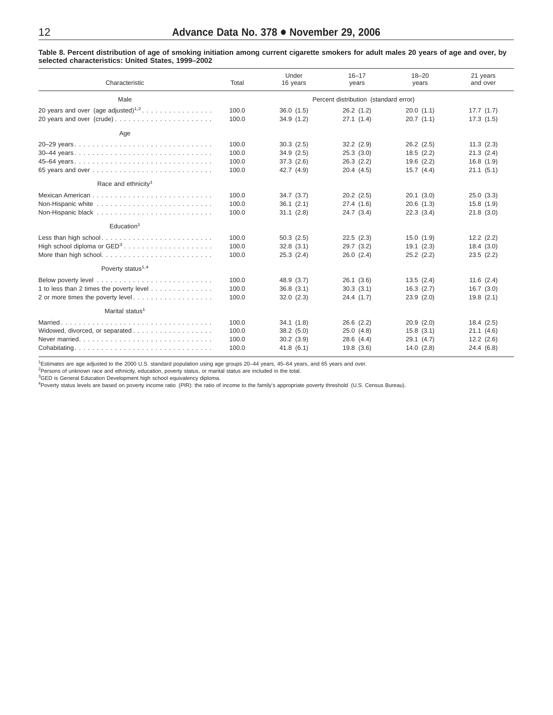<span id="page-11-0"></span>Table 8. Percent distribution of age of smoking initiation among current cigarette smokers for adult males 20 years of age and over, by **selected characteristics: United States, 1999–2002**

| Characteristic                                  | Total | Under<br>16 years | $16 - 17$<br>years                    | $18 - 20$<br>years | 21 years<br>and over |
|-------------------------------------------------|-------|-------------------|---------------------------------------|--------------------|----------------------|
| Male                                            |       |                   | Percent distribution (standard error) |                    |                      |
| 20 years and over (age adjusted) <sup>1,2</sup> | 100.0 | 36.0(1.5)         | 26.2(1.2)                             | 20.0(1.1)          | 17.7(1.7)            |
| 20 years and over (crude)                       | 100.0 | 34.9(1.2)         | 27.1(1.4)                             | 20.7(1.1)          | 17.3(1.5)            |
| Age                                             |       |                   |                                       |                    |                      |
| 20-29 years                                     | 100.0 | 30.3(2.5)         | 32.2(2.9)                             | 26.2(2.5)          | 11.3(2.3)            |
| 30–44 years                                     | 100.0 | 34.9(2.5)         | 25.3(3.0)                             | 18.5(2.2)          | 21.3(2.4)            |
|                                                 | 100.0 | 37.3(2.6)         | 26.3(2.2)                             | 19.6(2.2)          | 16.8(1.9)            |
|                                                 | 100.0 | 42.7 (4.9)        | 20.4(4.5)                             | 15.7(4.4)          | 21.1(5.1)            |
| Race and ethnicity <sup>1</sup>                 |       |                   |                                       |                    |                      |
|                                                 | 100.0 | 34.7(3.7)         | $20.2$ $(2.5)$                        | 20.1(3.0)          | 25.0(3.3)            |
|                                                 | 100.0 | 36.1(2.1)         | 27.4(1.6)                             | 20.6(1.3)          | 15.8(1.9)            |
|                                                 | 100.0 | 31.1(2.8)         | 24.7(3.4)                             | 22.3(3.4)          | 21.8(3.0)            |
| Education <sup>1</sup>                          |       |                   |                                       |                    |                      |
|                                                 | 100.0 | 50.3(2.5)         | 22.5(2.3)                             | 15.0(1.9)          | $12.2$ $(2.2)$       |
|                                                 | 100.0 | 32.8(3.1)         | 29.7(3.2)                             | 19.1(2.3)          | 18.4(3.0)            |
|                                                 | 100.0 | 25.3(2.4)         | 26.0(2.4)                             | $25.2$ $(2.2)$     | 23.5(2.2)            |
| Poverty status <sup>1,4</sup>                   |       |                   |                                       |                    |                      |
|                                                 | 100.0 | 48.9 (3.7)        | 26.1(3.6)                             | 13.5(2.4)          | 11.6(2.4)            |
| 1 to less than 2 times the poverty level        | 100.0 | 36.8(3.1)         | 30.3(3.1)                             | 16.3(2.7)          | 16.7(3.0)            |
| 2 or more times the poverty level               | 100.0 | 32.0(2.3)         | 24.4(1.7)                             | 23.9(2.0)          | 19.8(2.1)            |
| Marital status <sup>1</sup>                     |       |                   |                                       |                    |                      |
|                                                 | 100.0 | 34.1(1.8)         | $26.6$ $(2.2)$                        | 20.9(2.0)          | 18.4(2.5)            |
|                                                 | 100.0 | 38.2(5.0)         | 25.0(4.8)                             | 15.8(3.1)          | 21.1(4.6)            |
|                                                 | 100.0 | 30.2(3.9)         | 28.6(4.4)                             | 29.1(4.7)          | $12.2$ $(2.6)$       |
| Cohabitating                                    | 100.0 | 41.8(6.1)         | 19.8(3.6)                             | 14.0(2.8)          | 24.4 (6.8)           |

1 Estimates are age adjusted to the 2000 U.S. standard population using age groups 20–44 years, 45–64 years, and 65 years and over.

<sup>2</sup>Persons of unknown race and ethnicity, education, poverty status, or marital status are included in the total.<br><sup>3</sup>GED is General Education Development high school equivalency diploma.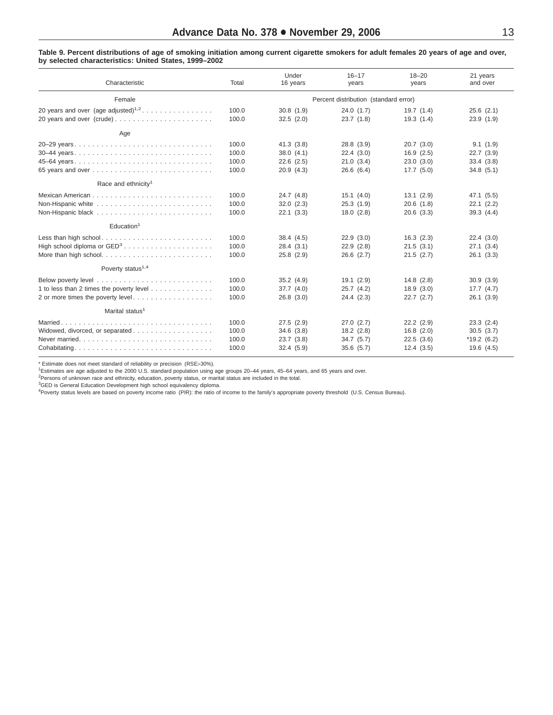### <span id="page-12-0"></span>Table 9. Percent distributions of age of smoking initiation among current cigarette smokers for adult females 20 years of age and over, **by selected characteristics: United States, 1999–2002**

| Characteristic                                  | Total | Under<br>16 years | $16 - 17$<br>years                    | $18 - 20$<br>years | 21 years<br>and over |
|-------------------------------------------------|-------|-------------------|---------------------------------------|--------------------|----------------------|
| Female                                          |       |                   | Percent distribution (standard error) |                    |                      |
| 20 years and over (age adjusted) <sup>1,2</sup> | 100.0 | 30.8(1.9)         | 24.0(1.7)                             | 19.7(1.4)          | $25.6$ $(2.1)$       |
|                                                 | 100.0 | 32.5(2.0)         | 23.7(1.8)                             | 19.3(1.4)          | 23.9(1.9)            |
| Age                                             |       |                   |                                       |                    |                      |
|                                                 | 100.0 | 41.3(3.8)         | 28.8 (3.9)                            | 20.7(3.0)          | 9.1(1.9)             |
|                                                 | 100.0 | 38.0(4.1)         | 22.4(3.0)                             | 16.9(2.5)          | 22.7(3.9)            |
| 45–64 years                                     | 100.0 | $22.6$ $(2.5)$    | 21.0(3.4)                             | 23.0(3.0)          | 33.4(3.8)            |
|                                                 | 100.0 | 20.9(4.3)         | 26.6(6.4)                             | 17.7(5.0)          | 34.8(5.1)            |
| Race and ethnicity <sup>1</sup>                 |       |                   |                                       |                    |                      |
|                                                 | 100.0 | 24.7 (4.8)        | 15.1(4.0)                             | 13.1(2.9)          | 47.1 (5.5)           |
|                                                 | 100.0 | 32.0(2.3)         | 25.3(1.9)                             | 20.6(1.8)          | 22.1(2.2)            |
|                                                 | 100.0 | 22.1(3.3)         | 18.0(2.8)                             | 20.6(3.3)          | 39.3(4.4)            |
| Education <sup>1</sup>                          |       |                   |                                       |                    |                      |
| Less than high school                           | 100.0 | 38.4(4.5)         | 22.9(3.0)                             | 16.3(2.3)          | 22.4(3.0)            |
|                                                 | 100.0 | 28.4(3.1)         | 22.9(2.8)                             | 21.5(3.1)          | 27.1(3.4)            |
|                                                 | 100.0 | 25.8(2.9)         | $26.6$ $(2.7)$                        | 21.5(2.7)          | 26.1(3.3)            |
| Poverty status <sup>1,4</sup>                   |       |                   |                                       |                    |                      |
|                                                 | 100.0 | 35.2(4.9)         | 19.1(2.9)                             | 14.8(2.8)          | 30.9(3.9)            |
| 1 to less than 2 times the poverty level        | 100.0 | 37.7(4.0)         | 25.7(4.2)                             | 18.9(3.0)          | 17.7(4.7)            |
| 2 or more times the poverty level               | 100.0 | 26.8(3.0)         | 24.4(2.3)                             | 22.7(2.7)          | 26.1(3.9)            |
| Marital status <sup>1</sup>                     |       |                   |                                       |                    |                      |
|                                                 | 100.0 | 27.5(2.9)         | 27.0(2.7)                             | 22.2(2.9)          | 23.3(2.4)            |
|                                                 | 100.0 | 34.6(3.8)         | 18.2(2.8)                             | 16.8(2.0)          | 30.5(3.7)            |
|                                                 | 100.0 | 23.7(3.8)         | 34.7(5.7)                             | 22.5(3.6)          | $*19.2(6.2)$         |
| Cohabitating                                    | 100.0 | 32.4(5.9)         | 35.6(5.7)                             | 12.4(3.5)          | 19.6 (4.5)           |

\* Estimate does not meet standard of reliability or precision (RSE>30%).

<sup>1</sup>Estimates are age adjusted to the 2000 U.S. standard population using age groups 20–44 years, 45–64 years, and 65 years and over.<br><sup>2</sup>Persons of unknown race and ethnicity, education, poverty status, or marital status ar

<sup>3</sup>GED is General Education Development high school equivalency diploma.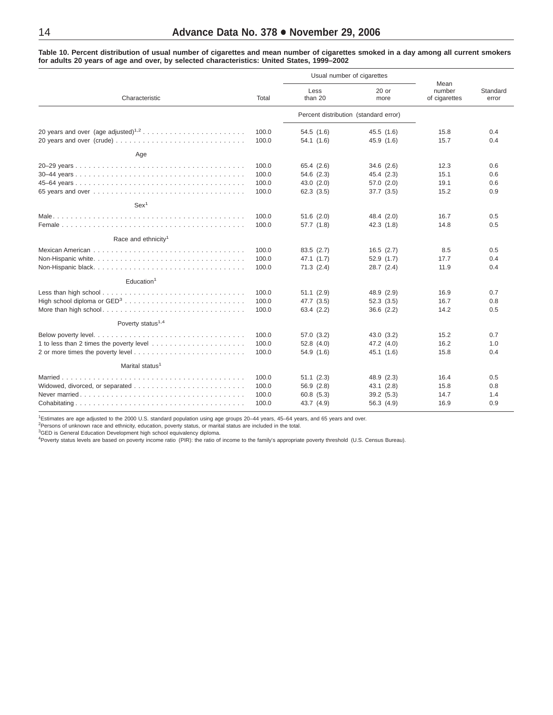<span id="page-13-0"></span>Table 10. Percent distribution of usual number of cigarettes and mean number of cigarettes smoked in a day among all current smokers **for adults 20 years of age and over, by selected characteristics: United States, 1999–2002**

|                                 |                                  |                                                     | Usual number of cigarettes                          |                                 |                          |
|---------------------------------|----------------------------------|-----------------------------------------------------|-----------------------------------------------------|---------------------------------|--------------------------|
| Characteristic                  | Total                            | Less<br>than 20                                     | $20$ or<br>more                                     | Mean<br>number<br>of cigarettes | Standard<br>error        |
|                                 |                                  |                                                     | Percent distribution (standard error)               |                                 |                          |
|                                 | 100.0<br>100.0                   | 54.5(1.6)<br>54.1(1.6)                              | 45.5(1.6)<br>45.9 (1.6)                             | 15.8<br>15.7                    | 0.4<br>0.4               |
| Age                             |                                  |                                                     |                                                     |                                 |                          |
|                                 | 100.0<br>100.0<br>100.0<br>100.0 | 65.4 (2.6)<br>54.6 (2.3)<br>43.0(2.0)<br>62.3(3.5)  | 34.6(2.6)<br>45.4 (2.3)<br>57.0(2.0)<br>37.7(3.5)   | 12.3<br>15.1<br>19.1<br>15.2    | 0.6<br>0.6<br>0.6<br>0.9 |
| Sex <sup>1</sup>                |                                  |                                                     |                                                     |                                 |                          |
|                                 | 100.0<br>100.0                   | $51.6$ $(2.0)$<br>57.7 (1.8)                        | 48.4 (2.0)<br>42.3 (1.8)                            | 16.7<br>14.8                    | 0.5<br>0.5               |
| Race and ethnicity <sup>1</sup> |                                  |                                                     |                                                     |                                 |                          |
|                                 | 100.0<br>100.0<br>100.0          | 83.5(2.7)<br>47.1(1.7)<br>71.3(2.4)                 | 16.5(2.7)<br>52.9(1.7)<br>$28.7$ $(2.4)$            | 8.5<br>17.7<br>11.9             | 0.5<br>0.4<br>0.4        |
| Education <sup>1</sup>          |                                  |                                                     |                                                     |                                 |                          |
| More than high school           | 100.0<br>100.0<br>100.0          | 51.1(2.9)<br>47.7 (3.5)<br>63.4 (2.2)               | 48.9 (2.9)<br>52.3(3.5)<br>36.6(2.2)                | 16.9<br>16.7<br>14.2            | 0.7<br>0.8<br>0.5        |
| Poverty status <sup>1,4</sup>   |                                  |                                                     |                                                     |                                 |                          |
|                                 | 100.0<br>100.0<br>100.0          | 57.0 (3.2)<br>52.8(4.0)<br>54.9 (1.6)               | 43.0(3.2)<br>47.2 (4.0)<br>45.1 (1.6)               | 15.2<br>16.2<br>15.8            | 0.7<br>1.0<br>0.4        |
| Marital status <sup>1</sup>     |                                  |                                                     |                                                     |                                 |                          |
|                                 | 100.0<br>100.0<br>100.0<br>100.0 | 51.1(2.3)<br>56.9 (2.8)<br>60.8 (5.3)<br>43.7 (4.9) | 48.9 (2.3)<br>43.1(2.8)<br>39.2 (5.3)<br>56.3 (4.9) | 16.4<br>15.8<br>14.7<br>16.9    | 0.5<br>0.8<br>1.4<br>0.9 |

1 Estimates are age adjusted to the 2000 U.S. standard population using age groups 20–44 years, 45–64 years, and 65 years and over.

<sup>2</sup>Persons of unknown race and ethnicity, education, poverty status, or marital status are included in the total.<br><sup>3</sup>GED is General Education Development high school equivalency diploma.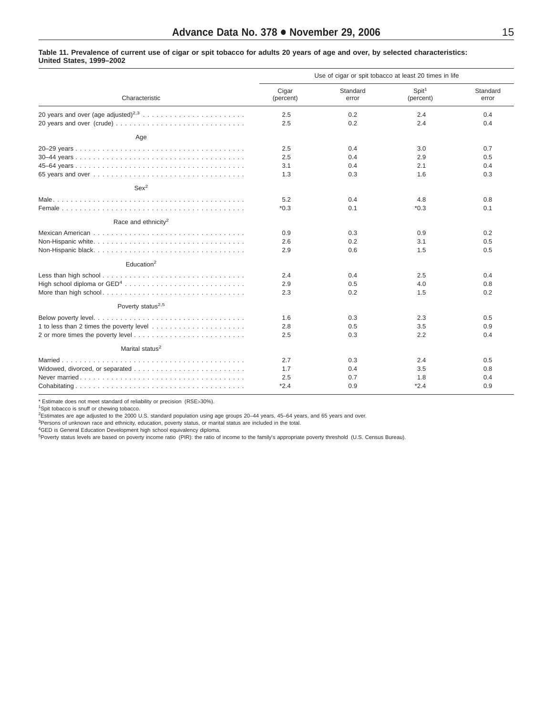#### <span id="page-14-0"></span>Table 11. Prevalence of current use of cigar or spit tobacco for adults 20 years of age and over, by selected characteristics: **United States, 1999–2002**

|                                 | Use of cigar or spit tobacco at least 20 times in life |                   |                                |                   |  |
|---------------------------------|--------------------------------------------------------|-------------------|--------------------------------|-------------------|--|
| Characteristic                  | Cigar<br>(percent)                                     | Standard<br>error | Spit <sup>1</sup><br>(percent) | Standard<br>error |  |
|                                 | 2.5<br>2.5                                             | 0.2<br>0.2        | 2.4<br>2.4                     | 0.4<br>0.4        |  |
| Age                             |                                                        |                   |                                |                   |  |
|                                 | 2.5<br>2.5<br>3.1                                      | 0.4<br>0.4<br>0.4 | 3.0<br>2.9<br>2.1              | 0.7<br>0.5<br>0.4 |  |
|                                 | 1.3                                                    | 0.3               | 1.6                            | 0.3               |  |
| Sex <sup>2</sup>                |                                                        |                   |                                |                   |  |
|                                 | 5.2<br>$*0.3$                                          | 0.4<br>0.1        | 4.8<br>$*0.3$                  | 0.8<br>0.1        |  |
| Race and ethnicity <sup>2</sup> |                                                        |                   |                                |                   |  |
|                                 | 0.9<br>2.6<br>2.9                                      | 0.3<br>0.2<br>0.6 | 0.9<br>3.1<br>1.5              | 0.2<br>0.5<br>0.5 |  |
| Education <sup>2</sup>          |                                                        |                   |                                |                   |  |
|                                 | 2.4<br>2.9<br>2.3                                      | 0.4<br>0.5<br>0.2 | 2.5<br>4.0<br>1.5              | 0.4<br>0.8<br>0.2 |  |
| Poverty status <sup>2,5</sup>   |                                                        |                   |                                |                   |  |
|                                 | 1.6<br>2.8<br>2.5                                      | 0.3<br>0.5<br>0.3 | 2.3<br>3.5<br>2.2              | 0.5<br>0.9<br>0.4 |  |
| Marital status <sup>2</sup>     |                                                        |                   |                                |                   |  |
|                                 | 2.7<br>1.7<br>2.5                                      | 0.3<br>0.4<br>0.7 | 2.4<br>3.5<br>1.8              | 0.5<br>0.8<br>0.4 |  |
|                                 | $*2.4$                                                 | 0.9               | $*2.4$                         | 0.9               |  |

\* Estimate does not meet standard of reliability or precision (RSE>30%).

<sup>1</sup>Spit tobacco is snuff or chewing tobacco.

2 Estimates are age adjusted to the 2000 U.S. standard population using age groups 20–44 years, 45–64 years, and 65 years and over.

<sup>3</sup>Persons of unknown race and ethnicity, education, poverty status, or marital status are included in the total.<br><sup>4</sup>GED is General Education Development high school equivalency diploma.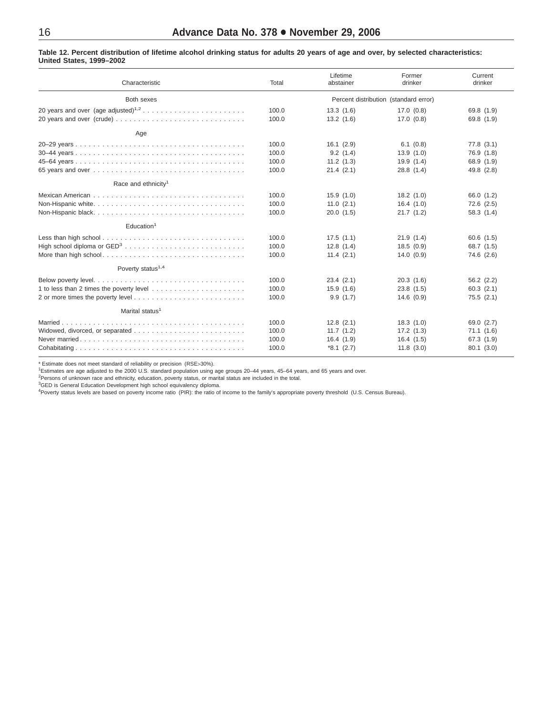### <span id="page-15-0"></span>Table 12. Percent distribution of lifetime alcohol drinking status for adults 20 years of age and over, by selected characteristics: **United States, 1999–2002**

| Characteristic                                                                                  | Total                                 | Lifetime<br>abstainer | Former<br>drinker | Current<br>drinker |  |
|-------------------------------------------------------------------------------------------------|---------------------------------------|-----------------------|-------------------|--------------------|--|
| Both sexes                                                                                      | Percent distribution (standard error) |                       |                   |                    |  |
|                                                                                                 | 100.0                                 | 13.3(1.6)             | 17.0(0.8)         | 69.8 (1.9)         |  |
|                                                                                                 | 100.0                                 | 13.2(1.6)             | 17.0(0.8)         | 69.8 (1.9)         |  |
| Age                                                                                             |                                       |                       |                   |                    |  |
|                                                                                                 | 100.0                                 | 16.1(2.9)             | 6.1(0.8)          | 77.8(3.1)          |  |
|                                                                                                 | 100.0                                 | 9.2(1.4)              | 13.9(1.0)         | 76.9 (1.8)         |  |
|                                                                                                 | 100.0                                 | 11.2(1.3)             | 19.9(1.4)         | 68.9 (1.9)         |  |
|                                                                                                 | 100.0                                 | 21.4(2.1)             | 28.8(1.4)         | 49.8 (2.8)         |  |
| Race and ethnicity <sup>1</sup>                                                                 |                                       |                       |                   |                    |  |
| Mexican American $\ldots \ldots \ldots \ldots \ldots \ldots \ldots \ldots \ldots \ldots \ldots$ | 100.0                                 | 15.9(1.0)             | 18.2(1.0)         | 66.0 (1.2)         |  |
|                                                                                                 | 100.0                                 | 11.0(2.1)             | 16.4(1.0)         | $72.6$ $(2.5)$     |  |
| Non-Hispanic black                                                                              | 100.0                                 | 20.0(1.5)             | 21.7(1.2)         | 58.3(1.4)          |  |
| Education <sup>1</sup>                                                                          |                                       |                       |                   |                    |  |
|                                                                                                 | 100.0                                 | 17.5(1.1)             | 21.9(1.4)         | 60.6(1.5)          |  |
|                                                                                                 | 100.0                                 | 12.8(1.4)             | 18.5(0.9)         | 68.7 (1.5)         |  |
|                                                                                                 | 100.0                                 | 11.4(2.1)             | 14.0(0.9)         | 74.6 (2.6)         |  |
| Poverty status <sup>1,4</sup>                                                                   |                                       |                       |                   |                    |  |
|                                                                                                 | 100.0                                 | 23.4(2.1)             | 20.3(1.6)         | 56.2(2.2)          |  |
|                                                                                                 | 100.0                                 | 15.9(1.6)             | 23.8(1.5)         | 60.3(2.1)          |  |
|                                                                                                 | 100.0                                 | 9.9(1.7)              | 14.6(0.9)         | 75.5(2.1)          |  |
| Marital status <sup>1</sup>                                                                     |                                       |                       |                   |                    |  |
|                                                                                                 | 100.0                                 | 12.8(2.1)             | 18.3(1.0)         | 69.0 (2.7)         |  |
|                                                                                                 | 100.0                                 | 11.7(1.2)             | 17.2(1.3)         | 71.1(1.6)          |  |
|                                                                                                 | 100.0                                 | 16.4(1.9)             | 16.4(1.5)         | 67.3 (1.9)         |  |
|                                                                                                 | 100.0                                 | $*8.1(2.7)$           | 11.8(3.0)         | 80.1(3.0)          |  |

\* Estimate does not meet standard of reliability or precision (RSE>30%).

<sup>1</sup>Estimates are age adjusted to the 2000 U.S. standard population using age groups 20–44 years, 45–64 years, and 65 years and over.<br><sup>2</sup>Persons of unknown race and ethnicity, education, poverty status, or marital status ar

<sup>3</sup>GED is General Education Development high school equivalency diploma.<br><sup>4</sup>Poverty status levels are based on poverty income ratio (PIR): the ratio of income to the family's appropriate poverty threshold (U.S. Census Bure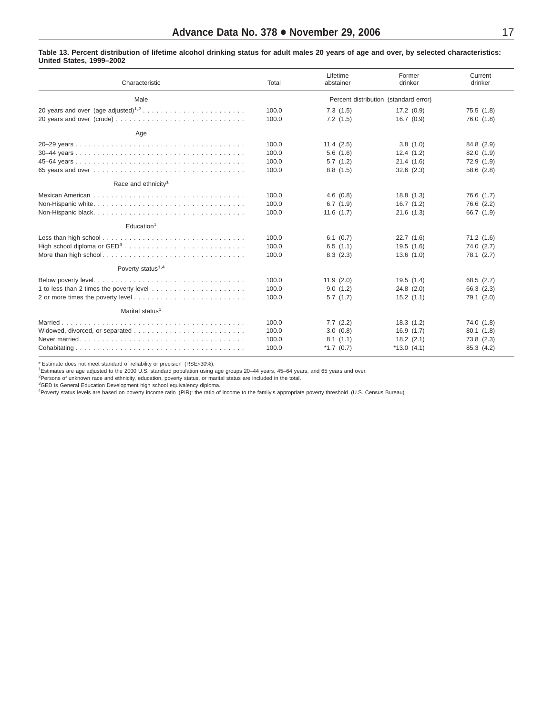<span id="page-16-0"></span>

| Characteristic                                                                                         | Total                            | Lifetime<br>abstainer                           | Former<br>drinker                                   | Current<br>drinker                                 |
|--------------------------------------------------------------------------------------------------------|----------------------------------|-------------------------------------------------|-----------------------------------------------------|----------------------------------------------------|
| Male                                                                                                   |                                  |                                                 | Percent distribution (standard error)               |                                                    |
|                                                                                                        | 100.0<br>100.0                   | 7.3(1.5)<br>7.2(1.5)                            | 17.2(0.9)<br>16.7(0.9)                              | 75.5(1.8)<br>76.0 (1.8)                            |
| Age                                                                                                    |                                  |                                                 |                                                     |                                                    |
|                                                                                                        | 100.0<br>100.0<br>100.0<br>100.0 | 11.4(2.5)<br>5.6(1.6)<br>5.7(1.2)<br>8.8(1.5)   | 3.8(1.0)<br>12.4(1.2)<br>21.4(1.6)<br>32.6(2.3)     | 84.8 (2.9)<br>82.0(1.9)<br>72.9 (1.9)<br>58.6(2.8) |
| Race and ethnicity <sup>1</sup>                                                                        |                                  |                                                 |                                                     |                                                    |
| Mexican American $\ldots \ldots \ldots \ldots \ldots \ldots \ldots \ldots \ldots \ldots \ldots \ldots$ | 100.0<br>100.0<br>100.0          | 4.6(0.8)<br>6.7(1.9)<br>11.6(1.7)               | 18.8(1.3)<br>16.7(1.2)<br>21.6(1.3)                 | 76.6 (1.7)<br>76.6 (2.2)<br>66.7 (1.9)             |
| Education <sup>1</sup>                                                                                 |                                  |                                                 |                                                     |                                                    |
|                                                                                                        | 100.0<br>100.0<br>100.0          | 6.1(0.7)<br>6.5(1.1)<br>8.3(2.3)                | 22.7(1.6)<br>19.5(1.6)<br>13.6(1.0)                 | 71.2(1.6)<br>74.0 (2.7)<br>78.1 (2.7)              |
| Poverty status <sup>1,4</sup>                                                                          |                                  |                                                 |                                                     |                                                    |
|                                                                                                        | 100.0<br>100.0<br>100.0          | 11.9(2.0)<br>9.0(1.2)<br>5.7(1.7)               | 19.5(1.4)<br>24.8(2.0)<br>15.2(1.1)                 | 68.5(2.7)<br>66.3 (2.3)<br>79.1 (2.0)              |
| Marital status <sup>1</sup>                                                                            |                                  |                                                 |                                                     |                                                    |
|                                                                                                        | 100.0<br>100.0<br>100.0<br>100.0 | 7.7(2.2)<br>3.0(0.8)<br>8.1(1.1)<br>$*1.7(0.7)$ | 18.3(1.2)<br>16.9(1.7)<br>18.2(2.1)<br>$*13.0(4.1)$ | 74.0 (1.8)<br>80.1(1.8)<br>73.8(2.3)<br>85.3 (4.2) |

\* Estimate does not meet standard of reliability or precision (RSE>30%).

<sup>1</sup>Estimates are age adjusted to the 2000 U.S. standard population using age groups 20–44 years, 45–64 years, and 65 years and over.<br><sup>2</sup>Persons of unknown race and ethnicity, education, poverty status, or marital status ar

<sup>3</sup>GED is General Education Development high school equivalency diploma.<br><sup>4</sup>Poverty status levels are based on poverty income ratio (PIR): the ratio of income to the family's appropriate poverty threshold (U.S. Census Bure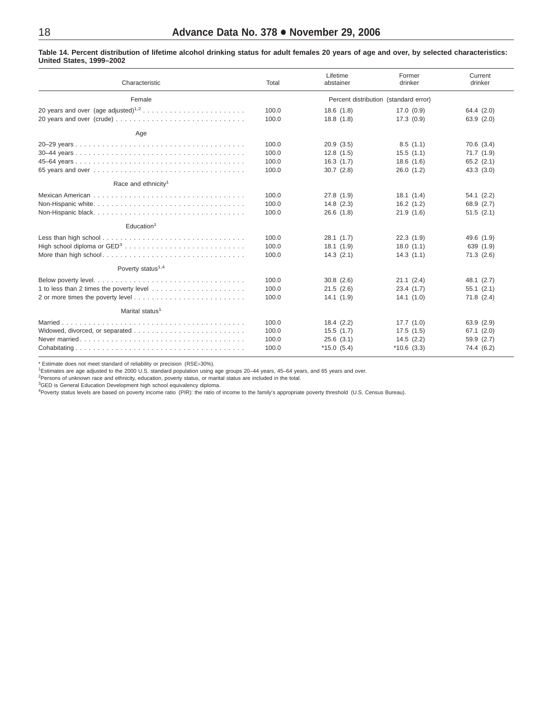### <span id="page-17-0"></span>Table 14. Percent distribution of lifetime alcohol drinking status for adult females 20 years of age and over, by selected characteristics: **United States, 1999–2002**

| Characteristic                                                                                                                          | Total                                 | Lifetime<br>abstainer | Former<br>drinker | Current<br>drinker |  |
|-----------------------------------------------------------------------------------------------------------------------------------------|---------------------------------------|-----------------------|-------------------|--------------------|--|
| Female                                                                                                                                  | Percent distribution (standard error) |                       |                   |                    |  |
|                                                                                                                                         | 100.0                                 | 18.6(1.8)             | 17.0(0.9)         | 64.4 (2.0)         |  |
|                                                                                                                                         | 100.0                                 | 18.8(1.8)             | 17.3(0.9)         | 63.9(2.0)          |  |
| Age                                                                                                                                     |                                       |                       |                   |                    |  |
|                                                                                                                                         | 100.0                                 | 20.9(3.5)             | 8.5(1.1)          | 70.6(3.4)          |  |
|                                                                                                                                         | 100.0                                 | 12.8(1.5)             | 15.5(1.1)         | 71.7(1.9)          |  |
|                                                                                                                                         | 100.0                                 | 16.3(1.7)             | 18.6(1.6)         | 65.2(2.1)          |  |
|                                                                                                                                         | 100.0                                 | 30.7(2.8)             | 26.0(1.2)         | 43.3(3.0)          |  |
| Race and ethnicity <sup>1</sup>                                                                                                         |                                       |                       |                   |                    |  |
| Mexican American $\ldots$ , $\ldots$ , $\ldots$ , $\ldots$ , $\ldots$ , $\ldots$ , $\ldots$ , $\ldots$ , $\ldots$ , $\ldots$ , $\ldots$ | 100.0                                 | 27.8(1.9)             | 18.1(1.4)         | 54.1(2.2)          |  |
|                                                                                                                                         | 100.0                                 | 14.8(2.3)             | 16.2(1.2)         | 68.9 (2.7)         |  |
|                                                                                                                                         | 100.0                                 | 26.6(1.8)             | 21.9(1.6)         | 51.5(2.1)          |  |
| Education <sup>1</sup>                                                                                                                  |                                       |                       |                   |                    |  |
|                                                                                                                                         | 100.0                                 | 28.1(1.7)             | 22.3(1.9)         | 49.6 (1.9)         |  |
|                                                                                                                                         | 100.0                                 | 18.1(1.9)             | 18.0(1.1)         | 639 (1.9)          |  |
| More than high school                                                                                                                   | 100.0                                 | 14.3(2.1)             | 14.3(1.1)         | 71.3(2.6)          |  |
| Poverty status <sup>1,4</sup>                                                                                                           |                                       |                       |                   |                    |  |
|                                                                                                                                         | 100.0                                 | 30.8(2.6)             | 21.1(2.4)         | 48.1 (2.7)         |  |
|                                                                                                                                         | 100.0                                 | 21.5(2.6)             | 23.4(1.7)         | 55.1(2.1)          |  |
|                                                                                                                                         | 100.0                                 | 14.1(1.9)             | 14.1(1.0)         | $71.8$ $(2.4)$     |  |
| Marital status <sup>1</sup>                                                                                                             |                                       |                       |                   |                    |  |
|                                                                                                                                         | 100.0                                 | 18.4(2.2)             | 17.7(1.0)         | 63.9(2.9)          |  |
|                                                                                                                                         | 100.0                                 | 15.5(1.7)             | 17.5(1.5)         | 67.1(2.0)          |  |
|                                                                                                                                         | 100.0                                 | 25.6(3.1)             | 14.5(2.2)         | 59.9 (2.7)         |  |
|                                                                                                                                         | 100.0                                 | $*15.0(5.4)$          | $*10.6(3.3)$      | 74.4 (6.2)         |  |

\* Estimate does not meet standard of reliability or precision (RSE>30%).

<sup>1</sup>Estimates are age adjusted to the 2000 U.S. standard population using age groups 20–44 years, 45–64 years, and 65 years and over.<br><sup>2</sup>Persons of unknown race and ethnicity, education, poverty status, or marital status ar

<sup>3</sup>GED is General Education Development high school equivalency diploma.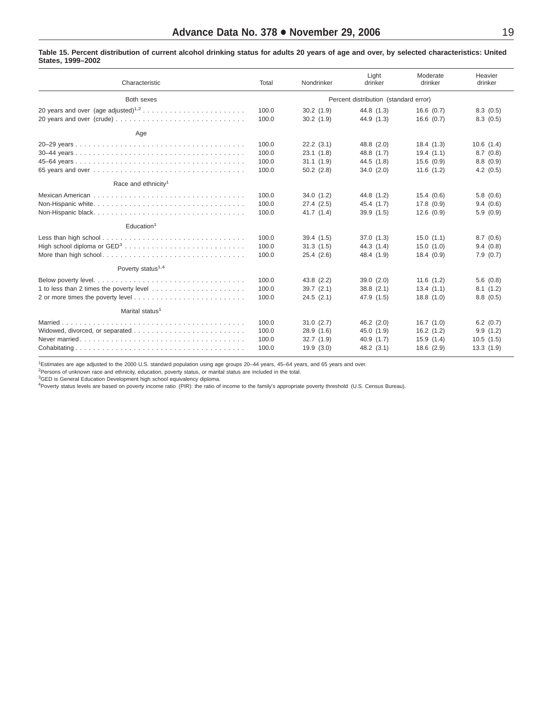#### <span id="page-18-0"></span>Table 15. Percent distribution of current alcohol drinking status for adults 20 years of age and over, by selected characteristics: United **States, 1999–2002**

| Characteristic                                                                                  | Total | Nondrinker                            | Light<br>drinker | Moderate<br>drinker | Heavier<br>drinker |  |
|-------------------------------------------------------------------------------------------------|-------|---------------------------------------|------------------|---------------------|--------------------|--|
| Both sexes                                                                                      |       | Percent distribution (standard error) |                  |                     |                    |  |
|                                                                                                 | 100.0 | 30.2(1.9)                             | 44.8 (1.3)       | 16.6(0.7)           | 8.3(0.5)           |  |
|                                                                                                 | 100.0 | 30.2(1.9)                             | 44.9 (1.3)       | 16.6(0.7)           | 8.3(0.5)           |  |
| Age                                                                                             |       |                                       |                  |                     |                    |  |
|                                                                                                 | 100.0 | 22.2(3.1)                             | 48.8 (2.0)       | 18.4(1.3)           | 10.6(1.4)          |  |
|                                                                                                 | 100.0 | 23.1(1.8)                             | 48.8 (1.7)       | 19.4(1.1)           | 8.7(0.8)           |  |
|                                                                                                 | 100.0 | 31.1(1.9)                             | 44.5 (1.8)       | 15.6(0.9)           | 8.8(0.9)           |  |
|                                                                                                 | 100.0 | 50.2(2.8)                             | 34.0(2.0)        | 11.6(1.2)           | 4.2(0.5)           |  |
| Race and ethnicity <sup>1</sup>                                                                 |       |                                       |                  |                     |                    |  |
| Mexican American $\ldots \ldots \ldots \ldots \ldots \ldots \ldots \ldots \ldots \ldots \ldots$ | 100.0 | 34.0(1.2)                             | 44.8 (1.2)       | 15.4(0.6)           | 5.8(0.6)           |  |
|                                                                                                 | 100.0 | 27.4(2.5)                             | 45.4 (1.7)       | 17.8(0.9)           | 9.4(0.6)           |  |
| Non-Hispanic black                                                                              | 100.0 | 41.7(1.4)                             | 39.9(1.5)        | 12.6(0.9)           | 5.9(0.9)           |  |
| Education <sup>1</sup>                                                                          |       |                                       |                  |                     |                    |  |
|                                                                                                 | 100.0 | 39.4(1.5)                             | 37.0(1.3)        | 15.0(1.1)           | 8.7(0.6)           |  |
|                                                                                                 | 100.0 | 31.3(1.5)                             | 44.3(1.4)        | 15.0(1.0)           | 9.4(0.8)           |  |
| More than high school                                                                           | 100.0 | 25.4(2.6)                             | 48.4 (1.9)       | 18.4(0.9)           | 7.9(0.7)           |  |
| Poverty status <sup>1,4</sup>                                                                   |       |                                       |                  |                     |                    |  |
|                                                                                                 | 100.0 | 43.8 (2.2)                            | 39.0(2.0)        | 11.6(1.2)           | 5.6(0.8)           |  |
|                                                                                                 | 100.0 | 39.7(2.1)                             | 38.8(2.1)        | 13.4(1.1)           | 8.1(1.2)           |  |
|                                                                                                 | 100.0 | 24.5(2.1)                             | 47.9 (1.5)       | 18.8(1.0)           | 8.8(0.5)           |  |
| Marital status <sup>1</sup>                                                                     |       |                                       |                  |                     |                    |  |
|                                                                                                 | 100.0 | 31.0(2.7)                             | $46.2$ $(2.0)$   | 16.7(1.0)           | 6.2(0.7)           |  |
|                                                                                                 | 100.0 | 28.9(1.6)                             | 45.0(1.9)        | 16.2(1.2)           | 9.9(1.2)           |  |
|                                                                                                 | 100.0 | 32.7(1.9)                             | 40.9(1.7)        | 15.9(1.4)           | 10.5(1.5)          |  |
|                                                                                                 | 100.0 | 19.9(3.0)                             | 48.2(3.1)        | 18.6(2.9)           | 13.3(1.9)          |  |

1 Estimates are age adjusted to the 2000 U.S. standard population using age groups 20–44 years, 45–64 years, and 65 years and over.

<sup>2</sup>Persons of unknown race and ethnicity, education, poverty status, or marital status are included in the total.

<sup>3</sup>GED is General Education Development high school equivalency diploma.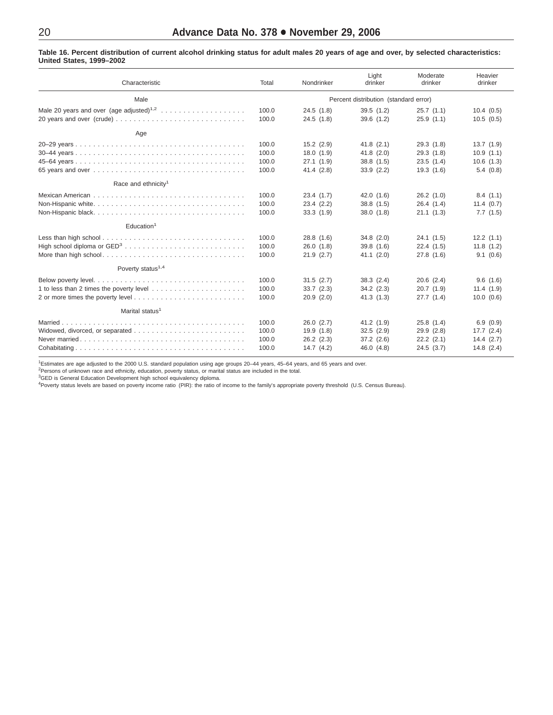### <span id="page-19-0"></span>Table 16. Percent distribution of current alcohol drinking status for adult males 20 years of age and over, by selected characteristics: **United States, 1999–2002**

| Characteristic                                                                                  | Total | Nondrinker                            | Light<br>drinker | Moderate<br>drinker | Heavier<br>drinker |  |  |
|-------------------------------------------------------------------------------------------------|-------|---------------------------------------|------------------|---------------------|--------------------|--|--|
| Male                                                                                            |       | Percent distribution (standard error) |                  |                     |                    |  |  |
|                                                                                                 | 100.0 | 24.5(1.8)                             | 39.5(1.2)        | 25.7(1.1)           | 10.4(0.5)          |  |  |
|                                                                                                 | 100.0 | 24.5(1.8)                             | 39.6(1.2)        | 25.9(1.1)           | 10.5(0.5)          |  |  |
| Age                                                                                             |       |                                       |                  |                     |                    |  |  |
|                                                                                                 | 100.0 | $15.2$ $(2.9)$                        | 41.8(2.1)        | 29.3(1.8)           | 13.7(1.9)          |  |  |
|                                                                                                 | 100.0 | 18.0(1.9)                             | 41.8(2.0)        | 29.3(1.8)           | 10.9(1.1)          |  |  |
|                                                                                                 | 100.0 | 27.1(1.9)                             | 38.8(1.5)        | 23.5(1.4)           | 10.6(1.3)          |  |  |
|                                                                                                 | 100.0 | 41.4(2.8)                             | 33.9(2.2)        | 19.3(1.6)           | 5.4(0.8)           |  |  |
| Race and ethnicity <sup>1</sup>                                                                 |       |                                       |                  |                     |                    |  |  |
| Mexican American $\ldots \ldots \ldots \ldots \ldots \ldots \ldots \ldots \ldots \ldots \ldots$ | 100.0 | 23.4(1.7)                             | 42.0(1.6)        | 26.2(1.0)           | 8.4(1.1)           |  |  |
|                                                                                                 | 100.0 | 23.4(2.2)                             | 38.8(1.5)        | 26.4(1.4)           | 11.4(0.7)          |  |  |
|                                                                                                 | 100.0 | 33.3(1.9)                             | 38.0(1.8)        | 21.1(1.3)           | 7.7(1.5)           |  |  |
| Education <sup>1</sup>                                                                          |       |                                       |                  |                     |                    |  |  |
|                                                                                                 | 100.0 | 28.8(1.6)                             | 34.8(2.0)        | 24.1(1.5)           | 12.2(1.1)          |  |  |
|                                                                                                 | 100.0 | 26.0(1.8)                             | 39.8(1.6)        | 22.4(1.5)           | 11.8(1.2)          |  |  |
|                                                                                                 | 100.0 | 21.9(2.7)                             | 41.1(2.0)        | 27.8(1.6)           | 9.1(0.6)           |  |  |
| Poverty status <sup>1,4</sup>                                                                   |       |                                       |                  |                     |                    |  |  |
|                                                                                                 | 100.0 | 31.5(2.7)                             | 38.3(2.4)        | 20.6(2.4)           | 9.6(1.6)           |  |  |
|                                                                                                 | 100.0 | 33.7(2.3)                             | 34.2(2.3)        | 20.7(1.9)           | 11.4(1.9)          |  |  |
|                                                                                                 | 100.0 | 20.9(2.0)                             | 41.3(1.3)        | 27.7(1.4)           | 10.0 (0.6)         |  |  |
| Marital status <sup>1</sup>                                                                     |       |                                       |                  |                     |                    |  |  |
|                                                                                                 | 100.0 | 26.0(2.7)                             | 41.2(1.9)        | 25.8(1.4)           | 6.9(0.9)           |  |  |
|                                                                                                 | 100.0 | 19.9(1.8)                             | 32.5(2.9)        | 29.9(2.8)           | 17.7(2.4)          |  |  |
|                                                                                                 | 100.0 | 26.2(2.3)                             | 37.2(2.6)        | $22.2$ $(2.1)$      | 14.4(2.7)          |  |  |
|                                                                                                 | 100.0 | 14.7(4.2)                             | 46.0 (4.8)       | 24.5(3.7)           | 14.8(2.4)          |  |  |

1 Estimates are age adjusted to the 2000 U.S. standard population using age groups 20–44 years, 45–64 years, and 65 years and over.

<sup>2</sup>Persons of unknown race and ethnicity, education, poverty status, or marital status are included in the total.<br><sup>3</sup>GED is General Education Development high school equivalency diploma.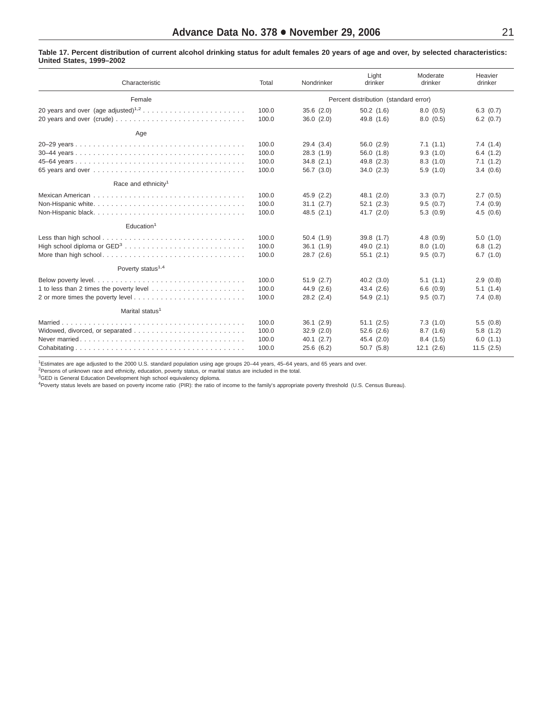#### Table 17. Percent distribution of current alcohol drinking status for adult females 20 years of age and over, by selected characteristics: **United States, 1999–2002**

| Characteristic                                                                                                                          | Total | Nondrinker                            | Light<br>drinker | Moderate<br>drinker | Heavier<br>drinker |  |  |
|-----------------------------------------------------------------------------------------------------------------------------------------|-------|---------------------------------------|------------------|---------------------|--------------------|--|--|
| Female                                                                                                                                  |       | Percent distribution (standard error) |                  |                     |                    |  |  |
|                                                                                                                                         | 100.0 | 35.6(2.0)                             | 50.2(1.6)        | 8.0(0.5)            | 6.3(0.7)           |  |  |
|                                                                                                                                         | 100.0 | 36.0(2.0)                             | 49.8 (1.6)       | 8.0(0.5)            | $6.2$ $(0.7)$      |  |  |
| Age                                                                                                                                     |       |                                       |                  |                     |                    |  |  |
|                                                                                                                                         | 100.0 | 29.4 (3.4)                            | 56.0(2.9)        | 7.1(1.1)            | 7.4(1.4)           |  |  |
|                                                                                                                                         | 100.0 | 28.3(1.9)                             | 56.0(1.8)        | 9.3(1.0)            | 6.4(1.2)           |  |  |
|                                                                                                                                         | 100.0 | 34.8(2.1)                             | 49.8 (2.3)       | 8.3(1.0)            | 7.1(1.2)           |  |  |
|                                                                                                                                         | 100.0 | 56.7(3.0)                             | 34.0(2.3)        | 5.9(1.0)            | 3.4(0.6)           |  |  |
| Race and ethnicity <sup>1</sup>                                                                                                         |       |                                       |                  |                     |                    |  |  |
| Mexican American $\ldots$ , $\ldots$ , $\ldots$ , $\ldots$ , $\ldots$ , $\ldots$ , $\ldots$ , $\ldots$ , $\ldots$ , $\ldots$ , $\ldots$ | 100.0 | 45.9(2.2)                             | 48.1 (2.0)       | 3.3(0.7)            | 2.7(0.5)           |  |  |
|                                                                                                                                         | 100.0 | 31.1 (2.7)                            | 52.1(2.3)        | 9.5(0.7)            | 7.4(0.9)           |  |  |
|                                                                                                                                         | 100.0 | 48.5(2.1)                             | 41.7(2.0)        | 5.3(0.9)            | 4.5(0.6)           |  |  |
| Education <sup>1</sup>                                                                                                                  |       |                                       |                  |                     |                    |  |  |
|                                                                                                                                         | 100.0 | 50.4(1.9)                             | 39.8 (1.7)       | 4.8(0.9)            | 5.0(1.0)           |  |  |
|                                                                                                                                         | 100.0 | 36.1(1.9)                             | 49.0(2.1)        | 8.0(1.0)            | 6.8(1.2)           |  |  |
| More than high school                                                                                                                   | 100.0 | 28.7(2.6)                             | 55.1(2.1)        | 9.5(0.7)            | 6.7(1.0)           |  |  |
| Poverty status <sup>1,4</sup>                                                                                                           |       |                                       |                  |                     |                    |  |  |
|                                                                                                                                         | 100.0 | 51.9(2.7)                             | 40.2(3.0)        | 5.1(1.1)            | 2.9(0.8)           |  |  |
|                                                                                                                                         | 100.0 | 44.9 (2.6)                            | 43.4(2.6)        | 6.6(0.9)            | 5.1(1.4)           |  |  |
|                                                                                                                                         | 100.0 | $28.2$ $(2.4)$                        | 54.9(2.1)        | 9.5(0.7)            | 7.4(0.8)           |  |  |
| Marital status <sup>1</sup>                                                                                                             |       |                                       |                  |                     |                    |  |  |
|                                                                                                                                         | 100.0 | 36.1(2.9)                             | 51.1(2.5)        | 7.3(1.0)            | 5.5(0.8)           |  |  |
|                                                                                                                                         | 100.0 | 32.9(2.0)                             | 52.6(2.6)        | 8.7(1.6)            | 5.8(1.2)           |  |  |
|                                                                                                                                         | 100.0 | 40.1(2.7)                             | 45.4 (2.0)       | 8.4(1.5)            | 6.0(1.1)           |  |  |
|                                                                                                                                         | 100.0 | 25.6(6.2)                             | 50.7(5.8)        | 12.1(2.6)           | 11.5(2.5)          |  |  |

1 Estimates are age adjusted to the 2000 U.S. standard population using age groups 20–44 years, 45–64 years, and 65 years and over.

<sup>2</sup>Persons of unknown race and ethnicity, education, poverty status, or marital status are included in the total.<br><sup>3</sup>GED is General Education Development high school equivalency diploma.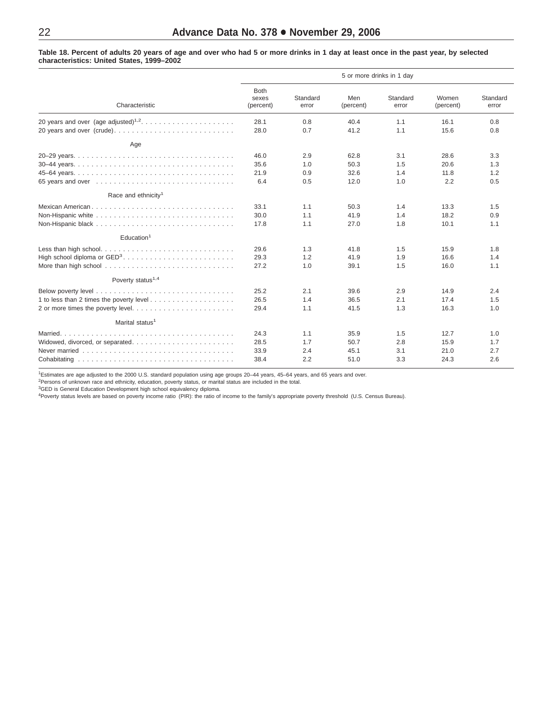<span id="page-21-0"></span>Table 18. Percent of adults 20 years of age and over who had 5 or more drinks in 1 day at least once in the past year, by selected **characteristics: United States, 1999–2002**

|                                 | 5 or more drinks in 1 day         |                   |                  |                   |                    |                   |  |
|---------------------------------|-----------------------------------|-------------------|------------------|-------------------|--------------------|-------------------|--|
| Characteristic                  | <b>Both</b><br>sexes<br>(percent) | Standard<br>error | Men<br>(percent) | Standard<br>error | Women<br>(percent) | Standard<br>error |  |
|                                 | 28.1                              | 0.8               | 40.4             | 1.1               | 16.1               | 0.8               |  |
| 20 years and over (crude)       | 28.0                              | 0.7               | 41.2             | 1.1               | 15.6               | 0.8               |  |
| Age                             |                                   |                   |                  |                   |                    |                   |  |
|                                 | 46.0                              | 2.9               | 62.8             | 3.1               | 28.6               | 3.3               |  |
|                                 | 35.6                              | 1.0               | 50.3             | 1.5               | 20.6               | 1.3               |  |
|                                 | 21.9                              | 0.9               | 32.6             | 1.4               | 11.8               | 1.2               |  |
|                                 | 6.4                               | 0.5               | 12.0             | 1.0               | 2.2                | 0.5               |  |
| Race and ethnicity <sup>1</sup> |                                   |                   |                  |                   |                    |                   |  |
| Mexican American                | 33.1                              | 1.1               | 50.3             | 1.4               | 13.3               | 1.5               |  |
|                                 | 30.0                              | 1.1               | 41.9             | 1.4               | 18.2               | 0.9               |  |
|                                 | 17.8                              | 1.1               | 27.0             | 1.8               | 10.1               | 1.1               |  |
| Education <sup>1</sup>          |                                   |                   |                  |                   |                    |                   |  |
| Less than high school           | 29.6                              | 1.3               | 41.8             | 1.5               | 15.9               | 1.8               |  |
|                                 | 29.3                              | 1.2               | 41.9             | 1.9               | 16.6               | 1.4               |  |
|                                 | 27.2                              | 1.0               | 39.1             | 1.5               | 16.0               | 1.1               |  |
| Poverty status <sup>1,4</sup>   |                                   |                   |                  |                   |                    |                   |  |
|                                 | 25.2                              | 2.1               | 39.6             | 2.9               | 14.9               | 2.4               |  |
|                                 | 26.5                              | 1.4               | 36.5             | 2.1               | 17.4               | 1.5               |  |
|                                 | 29.4                              | 1.1               | 41.5             | 1.3               | 16.3               | 1.0               |  |
| Marital status <sup>1</sup>     |                                   |                   |                  |                   |                    |                   |  |
| Married                         | 24.3                              | 1.1               | 35.9             | 1.5               | 12.7               | 1.0               |  |
|                                 | 28.5                              | 1.7               | 50.7             | 2.8               | 15.9               | 1.7               |  |
|                                 | 33.9                              | 2.4               | 45.1             | 3.1               | 21.0               | 2.7               |  |
|                                 | 38.4                              | 2.2               | 51.0             | 3.3               | 24.3               | 2.6               |  |

<sup>1</sup>Estimates are age adjusted to the 2000 U.S. standard population using age groups 20–44 years, 45–64 years, and 65 years and over.<br><sup>2</sup>Persons of unknown race and ethnicity, education, poverty status, or marital status ar

<sup>3</sup>GED is General Education Development high school equivalency diploma.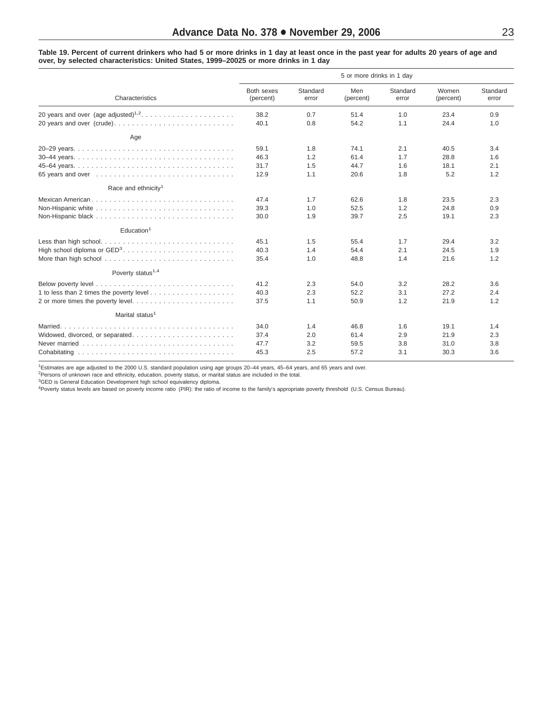<span id="page-22-0"></span>Table 19. Percent of current drinkers who had 5 or more drinks in 1 day at least once in the past year for adults 20 years of age and **over, by selected characteristics: United States, 1999–20025 or more drinks in 1 day**

|                                 | 5 or more drinks in 1 day |                   |                  |                   |                    |                   |  |
|---------------------------------|---------------------------|-------------------|------------------|-------------------|--------------------|-------------------|--|
| Characteristics                 | Both sexes<br>(percent)   | Standard<br>error | Men<br>(percent) | Standard<br>error | Women<br>(percent) | Standard<br>error |  |
|                                 | 38.2                      | 0.7               | 51.4             | 1.0               | 23.4               | 0.9               |  |
|                                 | 40.1                      | 0.8               | 54.2             | 1.1               | 24.4               | 1.0               |  |
| Age                             |                           |                   |                  |                   |                    |                   |  |
|                                 | 59.1                      | 1.8               | 74.1             | 2.1               | 40.5               | 3.4               |  |
|                                 | 46.3                      | 1.2               | 61.4             | 1.7               | 28.8               | 1.6               |  |
|                                 | 31.7                      | 1.5               | 44.7             | 1.6               | 18.1               | 2.1               |  |
|                                 | 12.9                      | 1.1               | 20.6             | 1.8               | 5.2                | 1.2               |  |
| Race and ethnicity <sup>1</sup> |                           |                   |                  |                   |                    |                   |  |
|                                 | 47.4                      | 1.7               | 62.6             | 1.8               | 23.5               | 2.3               |  |
|                                 | 39.3                      | 1.0               | 52.5             | 1.2               | 24.8               | 0.9               |  |
|                                 | 30.0                      | 1.9               | 39.7             | 2.5               | 19.1               | 2.3               |  |
| Education <sup>1</sup>          |                           |                   |                  |                   |                    |                   |  |
| Less than high school           | 45.1                      | 1.5               | 55.4             | 1.7               | 29.4               | 3.2               |  |
|                                 | 40.3                      | 1.4               | 54.4             | 2.1               | 24.5               | 1.9               |  |
|                                 | 35.4                      | 1.0               | 48.8             | 1.4               | 21.6               | 1.2               |  |
| Poverty status <sup>1,4</sup>   |                           |                   |                  |                   |                    |                   |  |
|                                 | 41.2                      | 2.3               | 54.0             | 3.2               | 28.2               | 3.6               |  |
|                                 | 40.3                      | 2.3               | 52.2             | 3.1               | 27.2               | 2.4               |  |
|                                 | 37.5                      | 1.1               | 50.9             | 1.2               | 21.9               | 1.2               |  |
| Marital status <sup>1</sup>     |                           |                   |                  |                   |                    |                   |  |
|                                 | 34.0                      | 1.4               | 46.8             | 1.6               | 19.1               | 1.4               |  |
|                                 | 37.4                      | 2.0               | 61.4             | 2.9               | 21.9               | 2.3               |  |
|                                 | 47.7                      | 3.2               | 59.5             | 3.8               | 31.0               | 3.8               |  |
|                                 | 45.3                      | 2.5               | 57.2             | 3.1               | 30.3               | 3.6               |  |

1 Estimates are age adjusted to the 2000 U.S. standard population using age groups 20–44 years, 45–64 years, and 65 years and over.

<sup>2</sup>Persons of unknown race and ethnicity, education, poverty status, or marital status are included in the total.<br><sup>3</sup>GED is General Education Development high school equivalency diploma.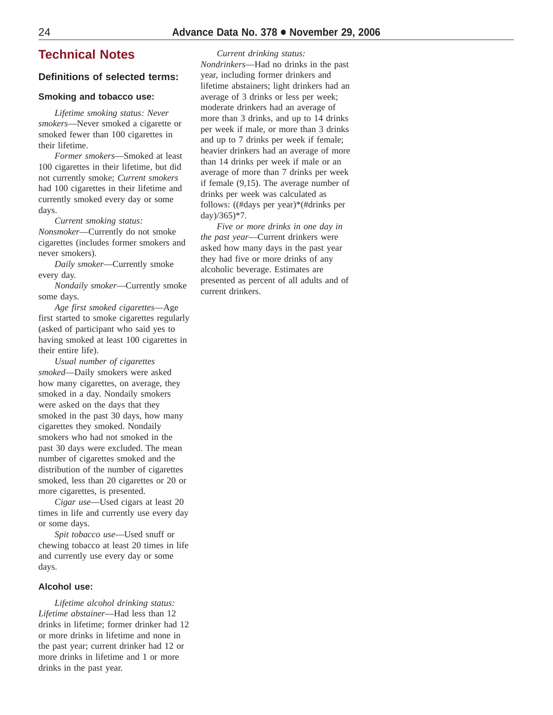### **Technical Notes**

### **Definitions of selected terms:**

### **Smoking and tobacco use:**

*Lifetime smoking status: Never smokers*—Never smoked a cigarette or smoked fewer than 100 cigarettes in their lifetime.

*Former smokers*—Smoked at least 100 cigarettes in their lifetime, but did not currently smoke; *Current smokers* had 100 cigarettes in their lifetime and currently smoked every day or some days.

*Current smoking status: Nonsmoker*—Currently do not smoke cigarettes (includes former smokers and never smokers).

*Daily smoker*—Currently smoke every day.

*Nondaily smoker*—Currently smoke some days.

*Age first smoked cigarettes*—Age first started to smoke cigarettes regularly (asked of participant who said yes to having smoked at least 100 cigarettes in their entire life).

*Usual number of cigarettes smoked*—Daily smokers were asked how many cigarettes, on average, they smoked in a day. Nondaily smokers were asked on the days that they smoked in the past 30 days, how many cigarettes they smoked. Nondaily smokers who had not smoked in the past 30 days were excluded. The mean number of cigarettes smoked and the distribution of the number of cigarettes smoked, less than 20 cigarettes or 20 or more cigarettes, is presented.

*Cigar use*—Used cigars at least 20 times in life and currently use every day or some days.

*Spit tobacco use*—Used snuff or chewing tobacco at least 20 times in life and currently use every day or some days.

### **Alcohol use:**

*Lifetime alcohol drinking status: Lifetime abstainer*—Had less than 12 drinks in lifetime; former drinker had 12 or more drinks in lifetime and none in the past year; current drinker had 12 or more drinks in lifetime and 1 or more drinks in the past year.

*Current drinking status: Nondrinkers*—Had no drinks in the past year, including former drinkers and lifetime abstainers; light drinkers had an average of 3 drinks or less per week; moderate drinkers had an average of more than 3 drinks, and up to 14 drinks per week if male, or more than 3 drinks and up to 7 drinks per week if female; heavier drinkers had an average of more than 14 drinks per week if male or an average of more than 7 drinks per week if female (9,15). The average number of drinks per week was calculated as follows: ((#days per year)\*(#drinks per day)/365)\*7.

*Five or more drinks in one day in the past year*—Current drinkers were asked how many days in the past year they had five or more drinks of any alcoholic beverage. Estimates are presented as percent of all adults and of current drinkers.